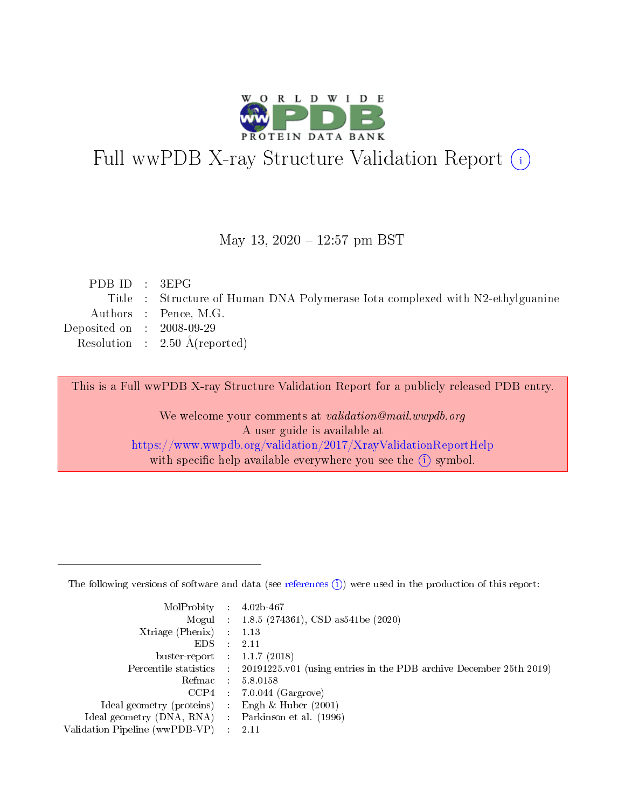

# Full wwPDB X-ray Structure Validation Report (i)

#### May 13,  $2020 - 12:57$  pm BST

| PDBID : 3EPG                |                                                                               |
|-----------------------------|-------------------------------------------------------------------------------|
|                             | Title : Structure of Human DNA Polymerase Iota complexed with N2-ethylguanine |
|                             | Authors : Pence, M.G.                                                         |
| Deposited on : $2008-09-29$ |                                                                               |
|                             | Resolution : $2.50 \text{ Å}$ (reported)                                      |
|                             |                                                                               |

This is a Full wwPDB X-ray Structure Validation Report for a publicly released PDB entry.

We welcome your comments at validation@mail.wwpdb.org A user guide is available at <https://www.wwpdb.org/validation/2017/XrayValidationReportHelp> with specific help available everywhere you see the  $(i)$  symbol.

The following versions of software and data (see [references](https://www.wwpdb.org/validation/2017/XrayValidationReportHelp#references)  $(1)$ ) were used in the production of this report:

| MolProbity :                   |               | $4.02b - 467$                                                               |
|--------------------------------|---------------|-----------------------------------------------------------------------------|
|                                |               | Mogul : $1.8.5$ (274361), CSD as 541be (2020)                               |
| $X$ triage (Phenix) :          |               | 1.13                                                                        |
| EDS.                           |               | 2.11                                                                        |
| buster-report : $1.1.7$ (2018) |               |                                                                             |
| Percentile statistics :        |               | $20191225 \text{v}01$ (using entries in the PDB archive December 25th 2019) |
| Refmac :                       |               | 5.8.0158                                                                    |
| $CCP4$ :                       |               | $7.0.044$ (Gargrove)                                                        |
| Ideal geometry (proteins) :    |               | Engh $\&$ Huber (2001)                                                      |
| Ideal geometry (DNA, RNA) :    |               | Parkinson et al. (1996)                                                     |
| Validation Pipeline (wwPDB-VP) | $\mathcal{L}$ | 2.11                                                                        |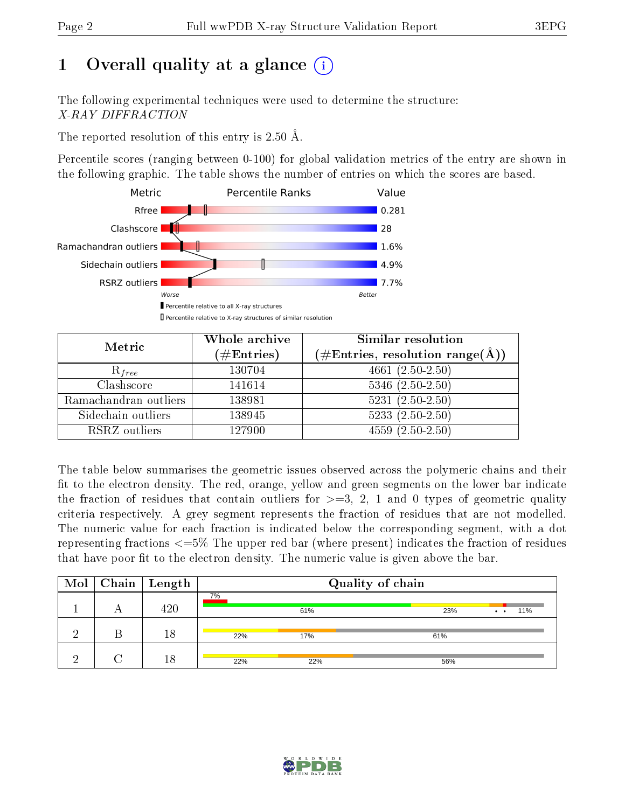# 1 [O](https://www.wwpdb.org/validation/2017/XrayValidationReportHelp#overall_quality)verall quality at a glance  $(i)$

The following experimental techniques were used to determine the structure: X-RAY DIFFRACTION

The reported resolution of this entry is 2.50 Å.

Percentile scores (ranging between 0-100) for global validation metrics of the entry are shown in the following graphic. The table shows the number of entries on which the scores are based.



| Metric                | Whole archive<br>$(\#\text{Entries})$ | Similar resolution<br>$(\#\text{Entries},\,\text{resolution}\,\,\text{range}(\textup{\AA}))$ |
|-----------------------|---------------------------------------|----------------------------------------------------------------------------------------------|
| $R_{free}$            | 130704                                | $4661 (2.50 - 2.50)$                                                                         |
| Clashscore            | 141614                                | $5346$ $(2.50-2.50)$                                                                         |
| Ramachandran outliers | 138981                                | $5231 (2.50 - 2.50)$                                                                         |
| Sidechain outliers    | 138945                                | $5233(2.50-2.50)$                                                                            |
| RSRZ outliers         | 127900                                | $4559(2.50-2.50)$                                                                            |

The table below summarises the geometric issues observed across the polymeric chains and their fit to the electron density. The red, orange, yellow and green segments on the lower bar indicate the fraction of residues that contain outliers for  $>=3, 2, 1$  and 0 types of geometric quality criteria respectively. A grey segment represents the fraction of residues that are not modelled. The numeric value for each fraction is indicated below the corresponding segment, with a dot representing fractions <=5% The upper red bar (where present) indicates the fraction of residues that have poor fit to the electron density. The numeric value is given above the bar.

| Mol | $\vert$ Chain $\vert$ Length |     |     | Quality of chain |                            |
|-----|------------------------------|-----|-----|------------------|----------------------------|
|     | 420                          | 7%  | 61% | 23%              | 11%<br>$\bullet$ $\bullet$ |
|     | 18                           | 22% | 17% | 61%              |                            |
|     | 18                           | 22% | 22% | 56%              |                            |

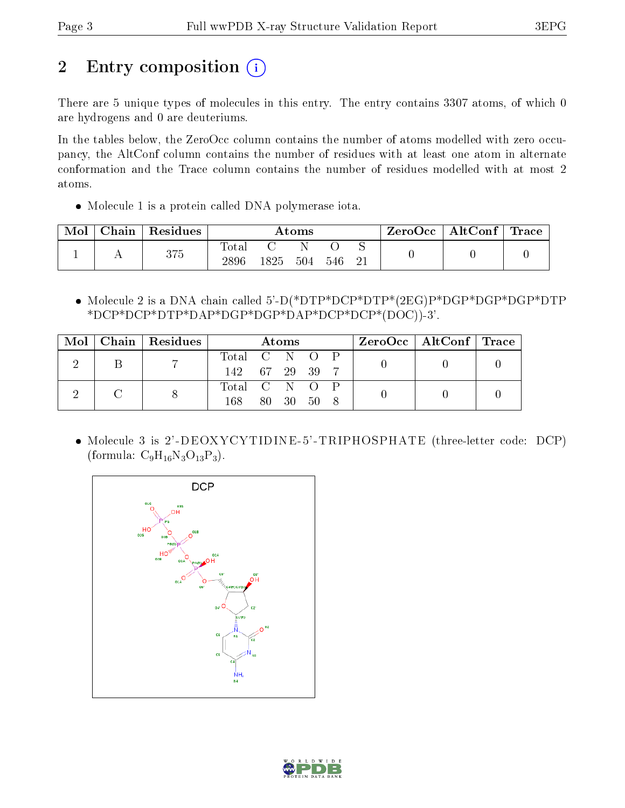# 2 Entry composition  $\left( \cdot \right)$

There are 5 unique types of molecules in this entry. The entry contains 3307 atoms, of which 0 are hydrogens and 0 are deuteriums.

In the tables below, the ZeroOcc column contains the number of atoms modelled with zero occupancy, the AltConf column contains the number of residues with at least one atom in alternate conformation and the Trace column contains the number of residues modelled with at most 2 atoms.

Molecule 1 is a protein called DNA polymerase iota.

| Mol | Chain | Residues | Atoms               |      |     | $ZeroOcc \mid AltConf \mid$ | $\operatorname{Trace}\nolimits$ |  |  |
|-----|-------|----------|---------------------|------|-----|-----------------------------|---------------------------------|--|--|
|     |       | 375      | $\rm Total$<br>2896 | 1825 | 504 | 546                         | ∼                               |  |  |

 Molecule 2 is a DNA chain called 5'-D(\*DTP\*DCP\*DTP\*(2EG)P\*DGP\*DGP\*DGP\*DTP \*DCP\*DCP\*DTP\*DAP\*DGP\*DGP\*DAP\*DCP\*DCP\*(DOC))-3'.

| Mol | $\vert$ Chain   Residues $\vert$ | Atoms          |  |  | $\rm ZeroOcc \mid AltConf \mid Trace$ |  |  |  |
|-----|----------------------------------|----------------|--|--|---------------------------------------|--|--|--|
|     |                                  | Total C N O P  |  |  |                                       |  |  |  |
|     |                                  | 142 67 29 39 7 |  |  |                                       |  |  |  |
|     |                                  | Total C N O P  |  |  |                                       |  |  |  |
|     |                                  | 168.           |  |  | 80 30 50 8                            |  |  |  |

 Molecule 3 is 2'-DEOXYCYTIDINE-5'-TRIPHOSPHATE (three-letter code: DCP) (formula:  $C_9H_{16}N_3O_{13}P_3$ ).



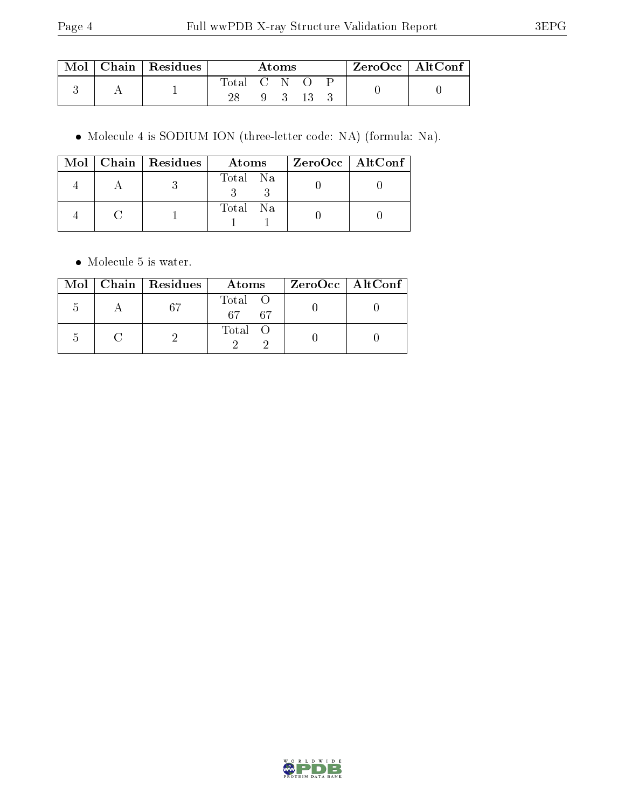| Mol | Chain   Residues | Atoms       |  |             | $ZeroOcc \   \ AltConf$ |  |  |  |
|-----|------------------|-------------|--|-------------|-------------------------|--|--|--|
|     |                  | Total C N O |  |             |                         |  |  |  |
|     |                  | 28          |  | $9 \quad 3$ | - 13                    |  |  |  |

Molecule 4 is SODIUM ION (three-letter code: NA) (formula: Na).

|  | $Mol$   Chain   Residues | Atoms    | $\rm ZeroOcc \mid AltConf \mid$ |
|--|--------------------------|----------|---------------------------------|
|  |                          | Total Na |                                 |
|  |                          | Total Na |                                 |

• Molecule 5 is water.

|  | $Mol$   Chain   Residues | Atoms                 | ZeroOcc   AltConf |
|--|--------------------------|-----------------------|-------------------|
|  | 67                       | Total O<br>67<br>- 67 |                   |
|  |                          | Total O               |                   |

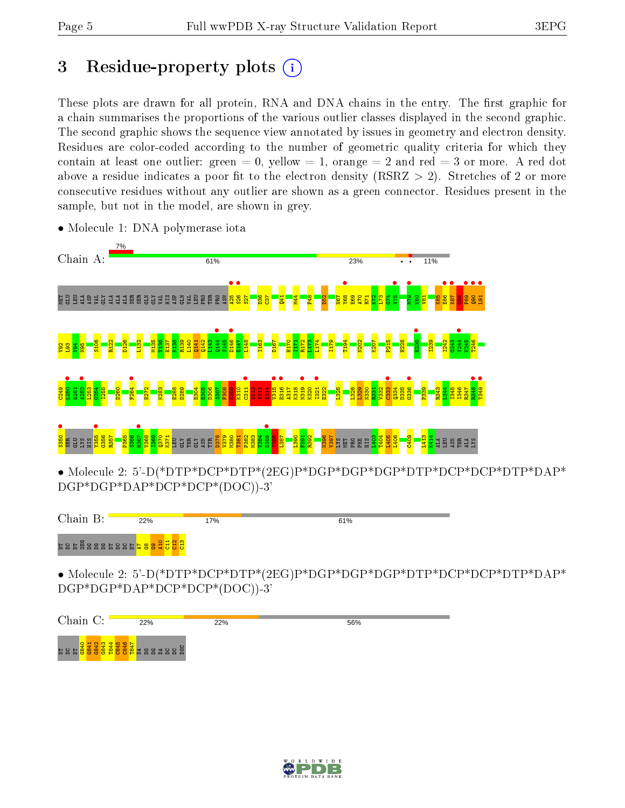# 3 Residue-property plots  $(i)$

These plots are drawn for all protein, RNA and DNA chains in the entry. The first graphic for a chain summarises the proportions of the various outlier classes displayed in the second graphic. The second graphic shows the sequence view annotated by issues in geometry and electron density. Residues are color-coded according to the number of geometric quality criteria for which they contain at least one outlier: green  $= 0$ , yellow  $= 1$ , orange  $= 2$  and red  $= 3$  or more. A red dot above a residue indicates a poor fit to the electron density (RSRZ  $>$  2). Stretches of 2 or more consecutive residues without any outlier are shown as a green connector. Residues present in the sample, but not in the model, are shown in grey.



• Molecule 1: DNA polymerase iota

Chain B:  $22%$ 17% 61% DTDCDT2EG DGDGDG DT DC DC DT A7 G8 G9 A10 C11 C12 C13

• Molecule 2: 5'-D(\*DTP\*DCP\*DTP\*(2EG)P\*DGP\*DGP\*DGP\*DTP\*DCP\*DCP\*DTP\*DAP\* DGP\*DGP\*DAP\*DCP\*DCP\*(DOC))-3'

| Chain C: | 22% | 22% | 56% |
|----------|-----|-----|-----|
|          |     |     |     |

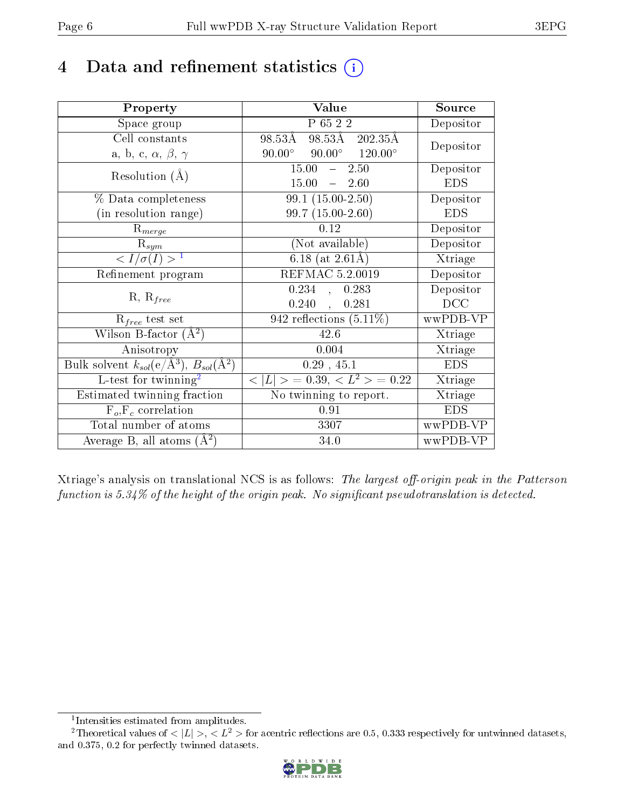# 4 Data and refinement statistics  $(i)$

| Property                                                         | Value                                            | Source     |
|------------------------------------------------------------------|--------------------------------------------------|------------|
| Space group                                                      | P 65 2 2                                         | Depositor  |
| Cell constants                                                   | 98.53Å 202.35Å<br>98.53Å                         | Depositor  |
| a, b, c, $\alpha$ , $\beta$ , $\gamma$                           | $90.00^{\circ}$ $90.00^{\circ}$ $120.00^{\circ}$ |            |
| Resolution $(A)$                                                 | 15.00<br>$-2.50$                                 | Depositor  |
|                                                                  | 15.00<br>$-2.60$                                 | <b>EDS</b> |
| % Data completeness                                              | $99.1(15.00-2.50)$                               | Depositor  |
| (in resolution range)                                            | $99.7(15.00-2.60)$                               | <b>EDS</b> |
| $R_{merge}$                                                      | 0.12                                             | Depositor  |
| $\mathrm{R}_{sym}$                                               | (Not available)                                  | Depositor  |
| $\langle I/\sigma(I) \rangle$ <sup>1</sup>                       | 6.18 (at $2.61\text{\AA}$ )                      | Xtriage    |
| Refinement program                                               | <b>REFMAC 5.2.0019</b>                           | Depositor  |
| $R, R_{free}$                                                    | 0.234,<br>0.283                                  | Depositor  |
|                                                                  | 0.240,<br>0.281                                  | DCC        |
| $R_{free}$ test set                                              | 942 reflections $(5.11\%)$                       | wwPDB-VP   |
| Wilson B-factor $(A^2)$                                          | 42.6                                             | Xtriage    |
| Anisotropy                                                       | 0.004                                            | Xtriage    |
| Bulk solvent $k_{sol}(\text{e}/\text{A}^3), B_{sol}(\text{A}^2)$ | 0.29, 45.1                                       | <b>EDS</b> |
| $L$ -test for twinning <sup>2</sup>                              | $< L >$ = 0.39, $< L^2 >$ = 0.22                 | Xtriage    |
| Estimated twinning fraction                                      | No twinning to report.                           | Xtriage    |
| $F_o, F_c$ correlation                                           | 0.91                                             | <b>EDS</b> |
| Total number of atoms                                            | 3307                                             | wwPDB-VP   |
| Average B, all atoms $(A^2)$                                     | 34.0                                             | wwPDB-VP   |

Xtriage's analysis on translational NCS is as follows: The largest off-origin peak in the Patterson function is  $5.34\%$  of the height of the origin peak. No significant pseudotranslation is detected.

<sup>&</sup>lt;sup>2</sup>Theoretical values of  $\langle |L| \rangle$ ,  $\langle L^2 \rangle$  for acentric reflections are 0.5, 0.333 respectively for untwinned datasets, and 0.375, 0.2 for perfectly twinned datasets.



<span id="page-5-1"></span><span id="page-5-0"></span><sup>1</sup> Intensities estimated from amplitudes.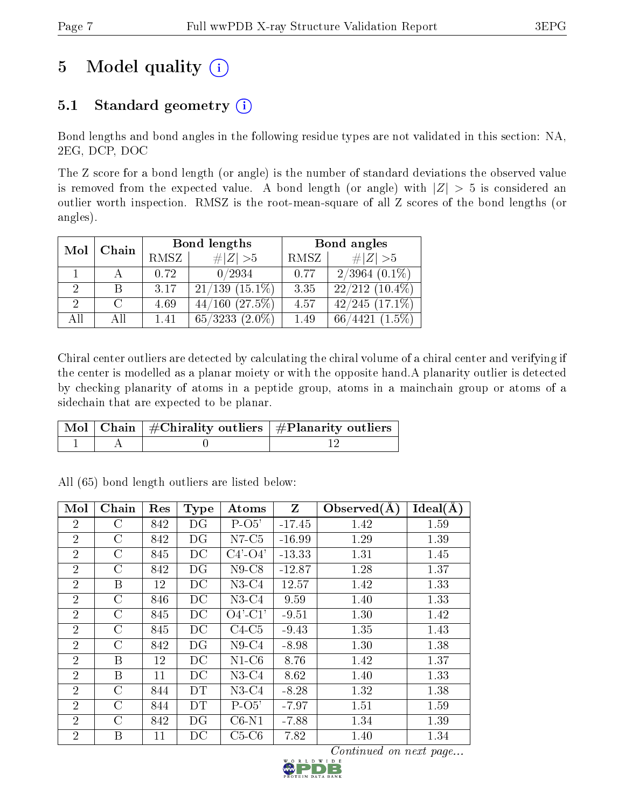# 5 Model quality  $(i)$

## 5.1 Standard geometry  $(i)$

Bond lengths and bond angles in the following residue types are not validated in this section: NA, 2EG, DCP, DOC

The Z score for a bond length (or angle) is the number of standard deviations the observed value is removed from the expected value. A bond length (or angle) with  $|Z| > 5$  is considered an outlier worth inspection. RMSZ is the root-mean-square of all Z scores of the bond lengths (or angles).

| Mol | Chain |      | Bond lengths         | Bond angles |                                     |  |
|-----|-------|------|----------------------|-------------|-------------------------------------|--|
|     |       | RMSZ | Z   > 5              | RMSZ        | # $ Z >5$                           |  |
|     |       | 0.72 | 0/2934               | 0.77        | $2/3964$ $(0.1\%)$                  |  |
|     | В     | 3.17 | $21/139$ $(15.1\%)$  | 3.35        | $22/212(10.4\%)$                    |  |
| 2.  |       | 4.69 | $44/160$ $(27.5\%)$  | 4.57        | $42/245$ $(17.1\%)$                 |  |
| All | All   | 1.41 | 65/3233<br>$(2.0\%)$ | 1.49        | $(1.5\%)$<br>$^{\prime}4421$<br>66/ |  |

Chiral center outliers are detected by calculating the chiral volume of a chiral center and verifying if the center is modelled as a planar moiety or with the opposite hand.A planarity outlier is detected by checking planarity of atoms in a peptide group, atoms in a mainchain group or atoms of a sidechain that are expected to be planar.

|  | $\lceil \,{\rm Mol} \mid {\rm Chain} \mid \# {\rm Chirality}$ outliers $\mid \# {\rm Planarity}$ outliers $\mid$ |
|--|------------------------------------------------------------------------------------------------------------------|
|  |                                                                                                                  |

| Mol            | Chain         | Res | <b>Type</b> | $\boldsymbol{\mathrm{Atoms}}$ | Z        | Observed $(A)$ | Ideal(A) |
|----------------|---------------|-----|-------------|-------------------------------|----------|----------------|----------|
| $\overline{2}$ | C             | 842 | DG          | $P-O5'$                       | $-17.45$ | 1.42           | 1.59     |
| $\overline{2}$ | $\rm C$       | 842 | DG          | $N7-C5$                       | $-16.99$ | 1.29           | 1.39     |
| $\overline{2}$ | $\mathcal C$  | 845 | DC          | $C4'$ - $O4'$                 | $-13.33$ | 1.31           | 1.45     |
| $\overline{2}$ | $\rm C$       | 842 | DG          | $N9$ -C $8$                   | $-12.87$ | 1.28           | 1.37     |
| $\overline{2}$ | Β             | 12  | DC          | $N3-C4$                       | 12.57    | 1.42           | 1.33     |
| $\overline{2}$ | $\mathcal{C}$ | 846 | DC          | $N3-C4$                       | 9.59     | 1.40           | 1.33     |
| $\overline{2}$ | $\rm C$       | 845 | DC          | $O4'$ -C1'                    | $-9.51$  | 1.30           | 1.42     |
| $\overline{2}$ | $\rm C$       | 845 | DC          | $C4-C5$                       | $-9.43$  | 1.35           | 1.43     |
| $\overline{2}$ | $\rm C$       | 842 | DG          | $N9-C4$                       | $-8.98$  | 1.30           | 1.38     |
| $\overline{2}$ | B             | 12  | DC          | $N1-C6$                       | 8.76     | 1.42           | 1.37     |
| $\overline{2}$ | B             | 11  | DC          | $N3-C4$                       | 8.62     | 1.40           | 1.33     |
| $\overline{2}$ | $\mathcal{C}$ | 844 | DT          | $N3-C4$                       | $-8.28$  | 1.32           | 1.38     |
| $\overline{2}$ | $\rm C$       | 844 | DT          | $P-O5'$                       | $-7.97$  | 1.51           | 1.59     |
| $\overline{2}$ | C             | 842 | DG          | $C6-N1$                       | $-7.88$  | 1.34           | 1.39     |
| $\overline{2}$ | B             | 11  | DC          | $C5-C6$                       | 7.82     | 1.40           | 1.34     |

All (65) bond length outliers are listed below:

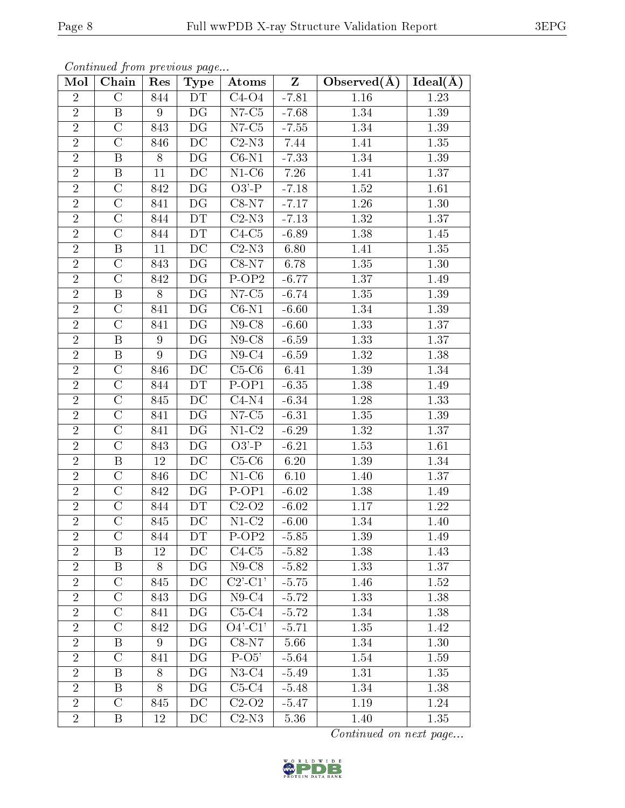| Mol            | Chain                   | Res            | <b>Type</b>              | Atoms                                 | $Z_{\parallel}$ | Observed $(A)$ | $Ideal(\AA)$ |
|----------------|-------------------------|----------------|--------------------------|---------------------------------------|-----------------|----------------|--------------|
| $\overline{2}$ | $\mathcal{C}$           | 844            | DT                       | $\overline{C}4$ -O4                   | $-7.81$         | 1.16           | $1.23\,$     |
| $\overline{2}$ | $\mathbf{B}$            | 9              | DG                       | $N7-C5$                               | $-7.68$         | 1.34           | 1.39         |
| $\overline{2}$ | $\overline{\rm C}$      | 843            | DG                       | $N7-C5$                               | $-7.55$         | 1.34           | 1.39         |
| $\overline{2}$ | $\mathcal{C}$           | 846            | DC                       | $C2-N3$                               | 7.44            | 1.41           | 1.35         |
| $\overline{2}$ | $\mathbf{B}$            | 8              | DG                       | $C6-N1$                               | $-7.33$         | 1.34           | 1.39         |
| $\overline{2}$ | $\boldsymbol{B}$        | 11             | $\overline{DC}$          | $N1-C6$                               | 7.26            | 1.41           | 1.37         |
| $\overline{2}$ | $\overline{C}$          | 842            | DG                       | $O3'$ -P                              | $-7.18$         | 1.52           | 1.61         |
| $\overline{2}$ | $\overline{C}$          | 841            | $\overline{\mathrm{DG}}$ | $C8-N7$                               | $-7.17$         | $1.26\,$       | 1.30         |
| $\overline{2}$ | $\mathcal{C}$           | 844            | DT                       | $C2-N3$                               | $-7.13$         | 1.32           | 1.37         |
| $\overline{2}$ | $\overline{C}$          | 844            | DT                       | $C4-C5$                               | $-6.89$         | 1.38           | 1.45         |
| $\overline{2}$ | $\overline{B}$          | 11             | $\overline{DC}$          | $C2-N3$                               | 6.80            | 1.41           | 1.35         |
| $\overline{2}$ | $\mathcal{C}$           | 843            | DG                       | $C8-N7$                               | 6.78            | 1.35           | 1.30         |
| $\overline{2}$ | $\overline{\rm C}$      | 842            | $\overline{\mathrm{DG}}$ | $\overline{P-OP2}$                    | $-6.77$         | 1.37           | 1.49         |
| $\overline{2}$ | $\, {\bf B}$            | 8              | DG                       | $N7-C5$                               | $-6.74$         | 1.35           | 1.39         |
| $\overline{2}$ | $\overline{\mathrm{C}}$ | 841            | DG                       | $C6-N1$                               | $-6.60$         | 1.34           | 1.39         |
| $\overline{2}$ | $\mathcal{C}$           | 841            | DG                       | $N9$ -C8                              | $-6.60$         | 1.33           | 1.37         |
| $\overline{2}$ | $\mathbf{B}$            | 9              | DG                       | $N9$ -C8                              | $-6.59$         | 1.33           | 1.37         |
| $\overline{2}$ | $\mathbf{B}$            | $9\phantom{.}$ | DG                       | $N9-C4$                               | $-6.59$         | 1.32           | 1.38         |
| $\overline{2}$ | $\mathcal{C}$           | 846            | DC                       | $C5-C6$                               | 6.41            | 1.39           | 1.34         |
| $\overline{2}$ | $\overline{\rm C}$      | 844            | DT                       | $P-OP1$                               | $-6.35$         | 1.38           | 1.49         |
| $\overline{2}$ | $\mathcal{C}$           | 845            | DC                       | $C4-N4$                               | $-6.34$         | 1.28           | 1.33         |
| $\overline{2}$ | $\overline{\rm C}$      | 841            | DG                       | $N7-C5$                               | $-6.31$         | 1.35           | 1.39         |
| $\overline{2}$ | $\mathcal{C}$           | 841            | DG                       | $N1-C2$                               | $-6.29$         | 1.32           | 1.37         |
| $\overline{2}$ | $\mathcal{C}$           | 843            | DG                       | $O3'$ -P                              | $-6.21$         | 1.53           | 1.61         |
| $\overline{2}$ | B                       | 12             | DC                       | $C5-C6$                               | 6.20            | 1.39           | 1.34         |
| $\overline{2}$ | $\overline{C}$          | 846            | DC                       | $N1-C6$                               | 6.10            | 1.40           | 1.37         |
| $\overline{2}$ | $\overline{C}$          | 842            | $\overline{\mathrm{DG}}$ | $P-OP1$                               | $-6.02$         | 1.38           | 1.49         |
| $\overline{2}$ | $\overline{C}$          | 844            | DT                       | $\overline{C}$ 2-O <sub>2</sub>       | $-6.02$         | 1.17           | 1.22         |
| $\overline{2}$ | $\mathcal{C}$           | 845            | DC                       | $N1-C2$                               | $-6.00$         | 1.34           | 1.40         |
| $\overline{2}$ | $\mathcal{C}$           | 844            | DT                       | $P-OP2$                               | $-5.85$         | 1.39           | 1.49         |
| $\overline{2}$ | B                       | 12             | DC                       | $C4-C5$                               | $-5.82$         | 1.38           | 1.43         |
| $\overline{2}$ | $\mathbf{B}$            | 8              | DG                       | $N9$ -C8                              | $-5.82$         | 1.33           | 1.37         |
| $\overline{2}$ | $\mathcal{C}$           | 845            | DC                       | $C2$ <sup>'</sup> - $C1$ <sup>'</sup> | $-5.75$         | 1.46           | 1.52         |
| $\overline{2}$ | $\mathcal{C}$           | 843            | DG                       | $N9-C4$                               | $-5.72$         | 1.33           | 1.38         |
| $\overline{2}$ | $\mathcal{C}$           | 841            | DG                       | $C5-C4$                               | $-5.72$         | 1.34           | 1.38         |
| $\overline{2}$ | $\mathcal{C}$           | 842            | DG                       | $O4'$ -C1'                            | $-5.71$         | 1.35           | 1.42         |
| $\overline{2}$ | B                       | 9              | DG                       | $\overline{\text{C}8-\text{N}}7$      | 5.66            | 1.34           | 1.30         |
| $\overline{2}$ | $\mathcal{C}$           | 841            | DG                       | $P-O5'$                               | $-5.64$         | 1.54           | 1.59         |
| $\overline{2}$ | B                       | 8              | DG                       | $N3-C4$                               | $-5.49$         | 1.31           | 1.35         |
| $\overline{2}$ | B                       | 8              | DG                       | $C5-C4$                               | $-5.48$         | 1.34           | 1.38         |
| $\overline{2}$ | $\mathcal{C}$           | 845            | DC                       | $C2-O2$                               | $-5.47$         | 1.19           | 1.24         |
| $\overline{2}$ | $\mathbf{B}$            | 12             | DC                       | $C2-N3$                               | 5.36            | 1.40           | 1.35         |

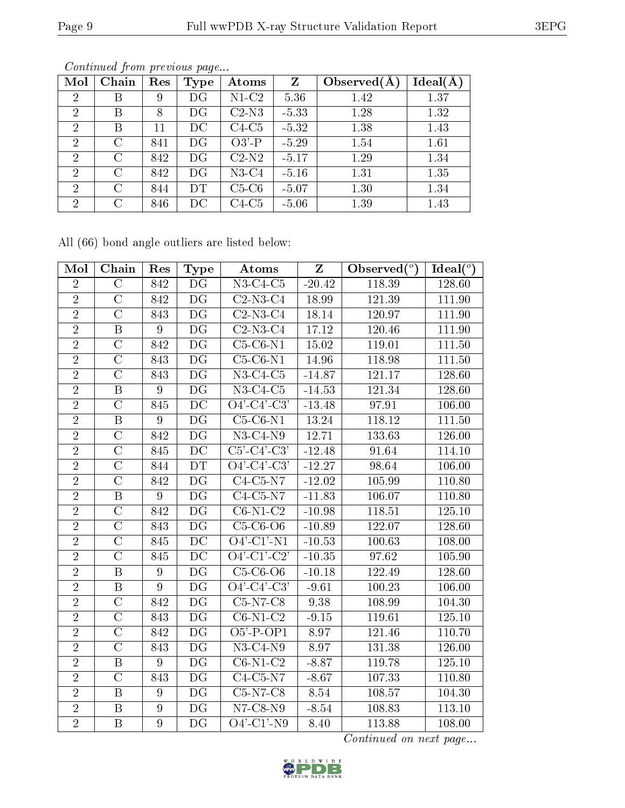| Mol            | Chain | Res | <b>Type</b> | Atoms                                 | Z       | Observed $(A$ | Ideal(A) |
|----------------|-------|-----|-------------|---------------------------------------|---------|---------------|----------|
| $\overline{2}$ | Β     | 9   | DG          | $\overline{\text{N1}}$ C <sub>2</sub> | 5.36    | 1.42          | 1.37     |
| $\overline{2}$ | В     | 8   | DG          | $C2-N3$                               | $-5.33$ | 1.28          | 1.32     |
| $\overline{2}$ | В     | 11  | DС          | $C4-C5$                               | $-5.32$ | 1.38          | 1.43     |
| $\overline{2}$ | C     | 841 | DG          | $O3'$ -P                              | $-5.29$ | 1.54          | 1.61     |
| $\overline{2}$ | C     | 842 | DG          | $C2-N2$                               | $-5.17$ | 1.29          | 1.34     |
| $\overline{2}$ | C     | 842 | DG          | $N3-C4$                               | $-5.16$ | 1.31          | 1.35     |
| $\overline{2}$ | C     | 844 | DT          | $C5-C6$                               | $-5.07$ | 1.30          | 1.34     |
| $\overline{2}$ | C     | 846 | DС          | $C4-C5$                               | $-5.06$ | 1.39          | 1.43     |

All (66) bond angle outliers are listed below:

| Mol            | Chain                   | Res            | <b>Type</b>              | Atoms                        | Z        | Observed $(°)$ | Ideal $(°)$ |
|----------------|-------------------------|----------------|--------------------------|------------------------------|----------|----------------|-------------|
| $\overline{2}$ | $\overline{C}$          | 842            | DG                       | $N3-C4-C5$                   | $-20.42$ | 118.39         | 128.60      |
| $\overline{2}$ | $\overline{C}$          | 842            | DG                       | $C2-N3-C4$                   | 18.99    | 121.39         | 111.90      |
| $\overline{2}$ | $\overline{\rm C}$      | 843            | $\overline{\mathrm{DG}}$ | $C2-N3-C4$                   | 18.14    | 120.97         | 111.90      |
| $\overline{2}$ | $\overline{B}$          | $\overline{9}$ | DG                       | $\overline{C2-N3-C4}$        | 17.12    | 120.46         | 111.90      |
| $\overline{2}$ | $\overline{\rm C}$      | 842            | $\overline{\mathrm{DG}}$ | $C5-C6-N1$                   | 15.02    | 119.01         | 111.50      |
| $\overline{2}$ | $\overline{C}$          | 843            | $\overline{\mathrm{DG}}$ | $C5-C6-N1$                   | 14.96    | 118.98         | 111.50      |
| $\overline{2}$ | $\rm C$                 | 843            | DG                       | $N3-C4-C5$                   | $-14.87$ | 121.17         | 128.60      |
| $\overline{2}$ | $\overline{\mathrm{B}}$ | 9              | $\overline{\mathrm{DG}}$ | $N3-C4-C5$                   | $-14.53$ | 121.34         | 128.60      |
| $\overline{2}$ | $\overline{\rm C}$      | 845            | DC                       | $O4'$ -C4'-C3'               | $-13.48$ | 97.91          | 106.00      |
| $\overline{2}$ | $\overline{\mathrm{B}}$ | 9              | $\overline{\mathrm{DG}}$ | $C5-C6-N1$                   | 13.24    | 118.12         | 111.50      |
| $\overline{2}$ | $\overline{C}$          | 842            | $\overline{\mathrm{DG}}$ | $N3-C4-N9$                   | 12.71    | 133.63         | 126.00      |
| $\overline{2}$ | $\overline{C}$          | 845            | DC                       | $C5'-C4'-C3'$                | $-12.48$ | 91.64          | 114.10      |
| $\overline{2}$ | $\overline{C}$          | 844            | DT                       | $Q4' - C4' - C3'$            | $-12.27$ | 98.64          | 106.00      |
| $\overline{2}$ | $\overline{\rm C}$      | 842            | DG                       | $C4-C5-N7$                   | $-12.02$ | 105.99         | 110.80      |
| $\overline{2}$ | $\overline{\mathrm{B}}$ | 9              | $\overline{\mathrm{DG}}$ | $C4-C5-N7$                   | $-11.83$ | 106.07         | 110.80      |
| $\overline{2}$ | $\overline{C}$          | 842            | DG                       | $C6-N1-C2$                   | $-10.98$ | 118.51         | 125.10      |
| $\overline{2}$ | $\overline{\mathrm{C}}$ | 843            | $\overline{\mathrm{DG}}$ | $C5-C6-O6$                   | $-10.89$ | 122.07         | 128.60      |
| $\overline{2}$ | $\overline{C}$          | 845            | $\overline{\text{DC}}$   | $O4'$ -C1'-N1                | $-10.53$ | 100.63         | 108.00      |
| $\overline{2}$ | $\overline{\rm C}$      | 845            | DC                       | $O4'$ -C1'-C2'               | $-10.35$ | 97.62          | 105.90      |
| $\overline{2}$ | $\overline{B}$          | 9              | $\overline{\mathrm{DG}}$ | $C5-C6-O6$                   | $-10.18$ | 122.49         | 128.60      |
| $\overline{2}$ | $\mathbf B$             | 9              | DG                       | $\overline{O4'-C4'-C3'}$     | $-9.61$  | 100.23         | 106.00      |
| $\overline{2}$ | $\overline{\rm C}$      | 842            | $\overline{\mathrm{DG}}$ | $C5-N7-C8$                   | 9.38     | 108.99         | 104.30      |
| $\overline{2}$ | $\overline{C}$          | 843            | DG                       | $C6-N1-C2$                   | $-9.15$  | 119.61         | 125.10      |
| $\overline{2}$ | $\overline{\text{C}}$   | 842            | DG                       | $O5'$ -P-OP1                 | 8.97     | 121.46         | 110.70      |
| $\overline{2}$ | $\overline{C}$          | 843            | DG                       | $N3-C4-N9$                   | 8.97     | 131.38         | 126.00      |
| $\overline{2}$ | $\, {\bf B}$            | $\overline{9}$ | DG                       | $\overline{\text{C6-N1-C2}}$ | $-8.87$  | 119.78         | 125.10      |
| $\overline{2}$ | $\overline{\rm C}$      | 843            | $\overline{\mathrm{DG}}$ | $C4-C5-N7$                   | $-8.67$  | 107.33         | 110.80      |
| $\overline{2}$ | $\overline{B}$          | $\overline{9}$ | DG                       | $C5-N7-C8$                   | 8.54     | 108.57         | 104.30      |
| $\overline{2}$ | $\, {\bf B}$            | 9              | DG                       | $N7$ -C8- $N9$               | $-8.54$  | 108.83         | 113.10      |
| $\overline{2}$ | $\overline{B}$          | $\overline{9}$ | $\overline{\mathrm{DG}}$ | $\overline{O4'-C1'-N9}$      | 8.40     | 113.88         | 108.00      |

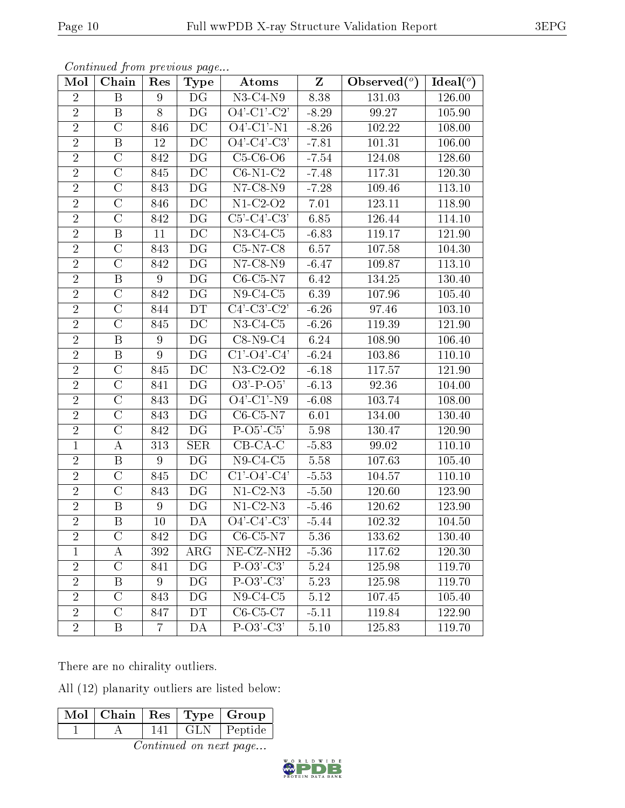| Mol            | Chain              | Res | <b>Type</b>              | Atoms                                                            | $\mathbf{Z}$ | Observed $(°)$ | $Ideal(^o)$ |
|----------------|--------------------|-----|--------------------------|------------------------------------------------------------------|--------------|----------------|-------------|
| $\overline{2}$ | $\boldsymbol{B}$   | 9   | DG                       | $\overline{\text{N3-C4-N9}}$                                     | 8.38         | 131.03         | 126.00      |
| $\overline{2}$ | $\boldsymbol{B}$   | 8   | DG                       | $\overline{O4'-Cl'-C2'}$                                         | $-8.29$      | 99.27          | 105.90      |
| $\overline{2}$ | $\mathcal{C}$      | 846 | DC                       | $\overline{O4'-C1'-N1}$                                          | $-8.26$      | 102.22         | 108.00      |
| $\overline{2}$ | $\boldsymbol{B}$   | 12  | DC                       | $O4'-C4'-C3'$                                                    | $-7.81$      | 101.31         | 106.00      |
| $\overline{2}$ | $\mathcal{C}$      | 842 | DG                       | $C5-C6-O6$                                                       | $-7.54$      | 124.08         | 128.60      |
| $\sqrt{2}$     | $\mathcal{C}$      | 845 | DC                       | $C6-N1-C2$                                                       | $-7.48$      | 117.31         | $120.30\,$  |
| $\overline{2}$ | $\mathcal{C}$      | 843 | DG                       | $N7$ -C8- $N9$                                                   | $-7.28$      | 109.46         | 113.10      |
| $\overline{2}$ | $\overline{\rm C}$ | 846 | $\overline{DC}$          | $N1-C2-O2$                                                       | 7.01         | 123.11         | 118.90      |
| $\overline{2}$ | $\mathcal{C}$      | 842 | DG                       | $\overline{\text{C5'-C4'-C3}}$                                   | 6.85         | 126.44         | 114.10      |
| $\overline{2}$ | $\, {\bf B}$       | 11  | $\overline{DC}$          | $N3-C4-C5$                                                       | $-6.83$      | 119.17         | 121.90      |
| $\overline{2}$ | $\mathcal{C}$      | 843 | DG                       | $C5-N7-C8$                                                       | 6.57         | 107.58         | 104.30      |
| $\overline{2}$ | $\overline{\rm C}$ | 842 | $\overline{\mathrm{DG}}$ | $N7-C8-N9$                                                       | $-6.47$      | 109.87         | 113.10      |
| $\overline{2}$ | $\, {\bf B}$       | 9   | DG                       | $C6-C5-N7$                                                       | 6.42         | 134.25         | 130.40      |
| $\overline{2}$ | $\overline{\rm C}$ | 842 | DG                       | $N9-C4-C5$                                                       | 6.39         | 107.96         | 105.40      |
| $\overline{2}$ | $\overline{C}$     | 844 | DT                       | $C4$ <sup>'</sup> -C <sub>3</sub> <sup>'</sup> -C <sub>2</sub> ' | $-6.26$      | 97.46          | 103.10      |
| $\overline{2}$ | $\overline{C}$     | 845 | DC                       | $N3-C4-C5$                                                       | $-6.26$      | 119.39         | 121.90      |
| $\overline{2}$ | B                  | 9   | DG                       | $C8-N9-C4$                                                       | 6.24         | 108.90         | 106.40      |
| $\overline{2}$ | $\, {\bf B}$       | 9   | DG                       | $C1'$ - $O4'$ - $C4'$                                            | $-6.24$      | 103.86         | 110.10      |
| $\overline{2}$ | $\mathcal{C}$      | 845 | DC                       | $N3-C2-O2$                                                       | $-6.18$      | 117.57         | 121.90      |
| $\overline{2}$ | $\overline{\rm C}$ | 841 | DG                       | $O3'$ -P- $O5'$                                                  | $-6.13$      | 92.36          | 104.00      |
| $\overline{2}$ | $\overline{C}$     | 843 | DG                       | $\overline{O4'-C1'-N9}$                                          | $-6.08$      | 103.74         | 108.00      |
| $\overline{2}$ | $\overline{\rm C}$ | 843 | DG                       | $C6-C5-N7$                                                       | 6.01         | 134.00         | 130.40      |
| $\overline{2}$ | $\overline{C}$     | 842 | DG                       | $P-O5'-C5'$                                                      | 5.98         | 130.47         | 120.90      |
| $\mathbf{1}$   | $\boldsymbol{A}$   | 313 | <b>SER</b>               | $CB-CA-C$                                                        | $-5.83$      | 99.02          | 110.10      |
| $\overline{2}$ | $\, {\bf B}$       | 9   | DG                       | $N9-C4-C5$                                                       | 5.58         | 107.63         | 105.40      |
| $\overline{2}$ | $\mathcal{C}$      | 845 | DC                       | $C1'$ - $O4'$ - $C4'$                                            | $-5.53$      | 104.57         | 110.10      |
| $\overline{2}$ | $\overline{C}$     | 843 | DG                       | $N1-C2-N3$                                                       | $-5.50$      | 120.60         | 123.90      |
| $\overline{2}$ | B                  | 9   | DG                       | $\overline{\text{N1-C2-N3}}$                                     | $-5.46$      | 120.62         | 123.90      |
| $\overline{2}$ | $\, {\bf B}$       | 10  | DA                       | $\overline{O4' - C4' - C3'}$                                     | $-5.44$      | 102.32         | 104.50      |
| $\overline{2}$ | $\rm C$            | 842 | DG                       | $C6$ - $C5$ -N7                                                  | 5.36         | 133.62         | 130.40      |
| 1              | Α                  | 392 | $\rm{ARG}$               | $NE- CZ-NH2$                                                     | $-5.36$      | 117.62         | 120.30      |
| $\overline{2}$ | $\mathcal{C}$      | 841 | DG                       | $P-O3'-C3'$                                                      | 5.24         | 125.98         | 119.70      |
| $\overline{2}$ | B                  | 9   | DG                       | $P-O3'.C3'$                                                      | 5.23         | 125.98         | 119.70      |
| $\overline{2}$ | $\mathcal{C}$      | 843 | DG                       | $N9-C4-C5$                                                       | 5.12         | 107.45         | 105.40      |
| $\overline{2}$ | $\mathcal{C}$      | 847 | DT                       | $\overline{C}$ 6-C5-C7                                           | $-5.11$      | 119.84         | 122.90      |
| $\sqrt{2}$     | Β                  | 7   | DА                       | $P-O3'-C3'$                                                      | $5.10\,$     | 125.83         | 119.70      |

There are no chirality outliers.

All (12) planarity outliers are listed below:

|                              |  |  |  | $\boxed{\text{Mol}$   Chain   Res   Type   Group |  |  |  |
|------------------------------|--|--|--|--------------------------------------------------|--|--|--|
|                              |  |  |  | $\boxed{141}$ GLN Peptide                        |  |  |  |
| $Oco$ time and an neart name |  |  |  |                                                  |  |  |  |

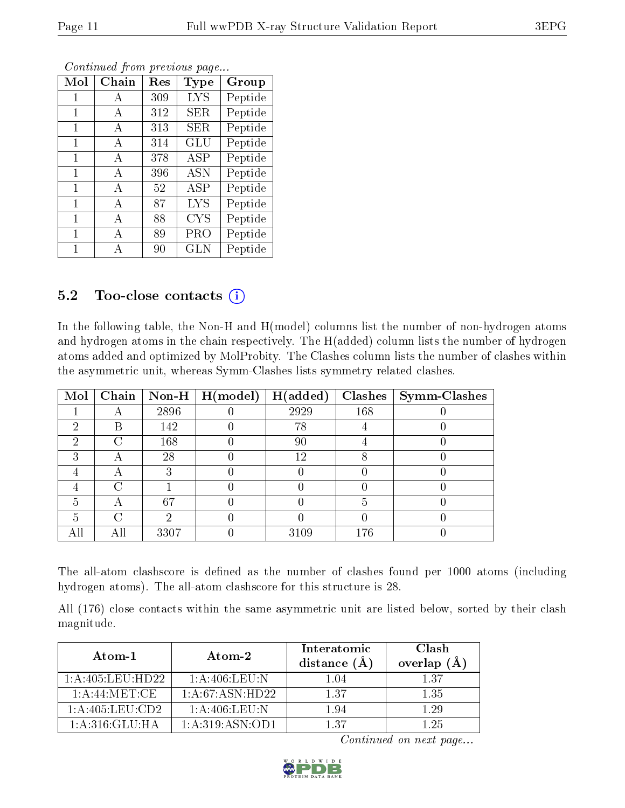| $\operatorname{Mol}$ | $Chain$ | $\operatorname{Res}% \left( \mathcal{N}\right) \equiv\operatorname{Res}(\mathcal{N}_{0})\cap\mathcal{N}_{1}$ | Type       | Group   |
|----------------------|---------|--------------------------------------------------------------------------------------------------------------|------------|---------|
| 1                    | A       | 309                                                                                                          | <b>LYS</b> | Peptide |
| 1                    | A       | 312                                                                                                          | SER        | Peptide |
| 1                    | A       | 313                                                                                                          | SER        | Peptide |
| 1                    | A       | 314                                                                                                          | <b>GLU</b> | Peptide |
| 1                    | A       | 378                                                                                                          | ASP        | Peptide |
| 1                    | A       | 396                                                                                                          | <b>ASN</b> | Peptide |
| 1                    | A       | 52                                                                                                           | <b>ASP</b> | Peptide |
| 1                    | A       | 87                                                                                                           | LYS        | Peptide |
| 1                    | A       | 88                                                                                                           | <b>CYS</b> | Peptide |
| 1                    | A       | 89                                                                                                           | PRO        | Peptide |
| 1                    | А       | 90                                                                                                           | <b>GLN</b> | Peptide |

### 5.2 Too-close contacts (i)

In the following table, the Non-H and H(model) columns list the number of non-hydrogen atoms and hydrogen atoms in the chain respectively. The H(added) column lists the number of hydrogen atoms added and optimized by MolProbity. The Clashes column lists the number of clashes within the asymmetric unit, whereas Symm-Clashes lists symmetry related clashes.

| Mol |   |      | Chain   Non-H   H(model) | H(added) | <b>Clashes</b> | Symm-Clashes |
|-----|---|------|--------------------------|----------|----------------|--------------|
|     |   | 2896 |                          | 2929     | 168            |              |
| 2   | В | 142  |                          | 78       |                |              |
| റ   | ╱ | 168  |                          | 90       |                |              |
| 3   | Η | 28   |                          | 12       |                |              |
|     | A |      |                          |          |                |              |
|     | C |      |                          |          |                |              |
| 5   | А | 67   |                          |          | .,             |              |
| 5   | ∩ | 6)   |                          |          |                |              |
| All |   | 3307 |                          | 3109     | 176            |              |

The all-atom clashscore is defined as the number of clashes found per 1000 atoms (including hydrogen atoms). The all-atom clashscore for this structure is 28.

All (176) close contacts within the same asymmetric unit are listed below, sorted by their clash magnitude.

| Atom-1             | Atom-2              | Interatomic<br>distance $(\AA)$ | Clash<br>overlap $(\AA)$ |
|--------------------|---------------------|---------------------------------|--------------------------|
| 1: A:405: LEU:HD22 | 1: A:406:LEU:N      | 1.04                            | 137                      |
| $1:$ A:44:MET:CE   | 1: A:67: ASN:HD22   | 137                             | 1.35                     |
| 1:A:405:LEU:CD2    | 1: A:406: LEU: N    | 1.94                            | 1 29                     |
| 1: A:316: GLU:HA   | 1: A: 319: ASN: OD1 | 137                             | 1 25                     |

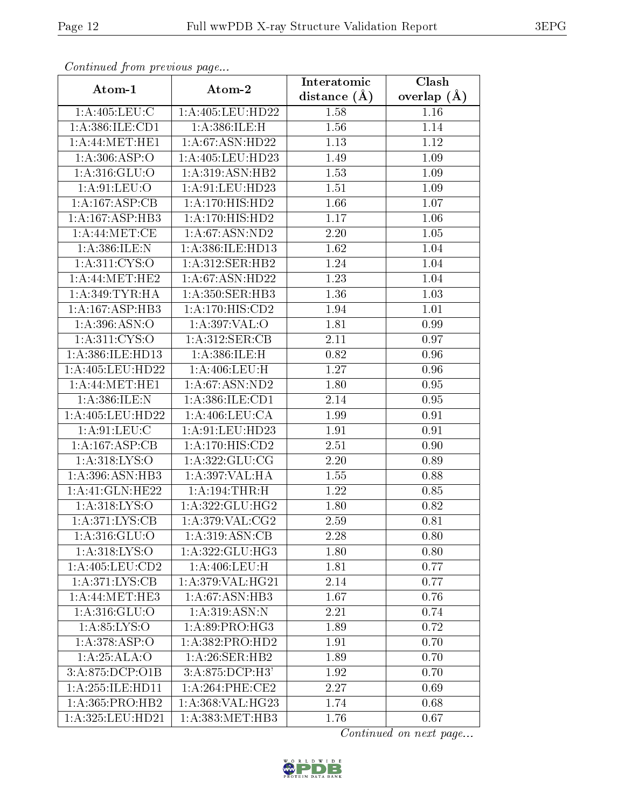| Communa from previous page           |                     | Interatomic       | $\overline{\text{Clash}}$ |
|--------------------------------------|---------------------|-------------------|---------------------------|
| Atom-1                               | Atom-2              | distance $(\AA)$  | overlap $(A)$             |
| 1: A:405: LEU: C                     | 1:A:405:LEU:HD22    | 1.58              | 1.16                      |
| 1:A:386:ILE:CD1                      | 1:A:386:ILE:H       | 1.56              | 1.14                      |
| 1: A:44: MET:HE1                     | 1: A:67: ASN:HD22   | 1.13              | $1.12\,$                  |
| 1: A:306: ASP:O                      | 1: A:405:LEU:HD23   | 1.49              | 1.09                      |
| 1: A:316: GLU:O                      | 1: A:319: ASN: HB2  | 1.53              | 1.09                      |
| 1: A:91:LEV:O                        | 1: A:91:LEU:HD23    | 1.51              | 1.09                      |
| 1:A:167:ASP:CB                       | 1: A:170:HIS:HD2    | 1.66              | 1.07                      |
| 1:A:167:ASP:HB3                      | 1: A:170:HIS:HD2    | 1.17              | 1.06                      |
| 1: A:44:MET:CE                       | 1: A:67: ASN:ND2    | 2.20              | 1.05                      |
| 1: A:386: ILE:N                      | 1:A:386:ILE:HD13    | 1.62              | 1.04                      |
| 1:A:311:CYS:O                        | 1:A:312:SER:HB2     | 1.24              | 1.04                      |
| 1: A:44: MET:HE2                     | 1: A:67: ASN:HD22   | 1.23              | 1.04                      |
| 1: A:349: TYR: HA                    | 1: A:350: SER: HB3  | 1.36              | 1.03                      |
| 1:A:167:ASP:HB3                      | 1:A:170:HIS:CD2     | 1.94              | 1.01                      |
| 1:A:396:ASN:O                        | 1:A:397:VAL:O       | 1.81              | 0.99                      |
| 1: A:311: CYS:O                      | 1:A:312:SER:CB      | 2.11              | 0.97                      |
| 1:A:386:ILE:HD13                     | 1:A:386:ILE:H       | 0.82              | 0.96                      |
| 1:A:405:LEU:HD22                     | 1: A:406: LEU:H     | 1.27              | 0.96                      |
| 1: A:44: MET:HE1                     | 1:A:67:ASN:ND2      | $1.\overline{80}$ | 0.95                      |
| 1: A:386: ILE:N                      | 1: A: 386: ILE: CD1 | 2.14              | 0.95                      |
| 1:A:405:LEU:HD22                     | 1: A:406: LEU: CA   | 1.99              | 0.91                      |
| 1:A:91:LEU:C                         | 1: A:91: LEU: HD23  | 1.91              | 0.91                      |
| 1:A:167:ASP:CB                       | 1: A:170:HIS:CD2    | 2.51              | 0.90                      |
| 1: A:318: LYS:O                      | 1: A:322: GLU:CG    | 2.20              | 0.89                      |
| 1: A:396: ASN:HB3                    | 1:A:397:VAL:HA      | 1.55              | 0.88                      |
| 1: A:41: GLN: HE22                   | 1: A:194:THR:H      | 1.22              | 0.85                      |
| 1: A:318: LYS:O                      | 1: A:322: GLU: HG2  | 1.80              | 0.82                      |
| 1: A:371: LYS: CB                    | 1: A:379: VAL: CG2  | 2.59              | 0.81                      |
| 1:A:316:GLU:O                        | 1: A:319: ASN: CB   | 2.28              | 0.80                      |
| 1:A:318:LYS:O                        | 1:A:322:GLU:HG3     | 1.80              | 0.80                      |
| 1:A:405:LEU:CD2                      | 1: A:406: LEU:H     | 1.81              | 0.77                      |
| 1: A:371: LYS:CB                     | 1: A:379: VAL:HG21  | 2.14              | 0.77                      |
| $1:A:44:\overline{\mathrm{MET:HE3}}$ | 1:A:67:ASN:HB3      | 1.67              | 0.76                      |
| 1: A:316: GLU:O                      | 1:A:319:ASN:N       | 2.21              | 0.74                      |
| 1: A:85: LYS:O                       | 1:A:89:PRO:HG3      | 1.89              | 0.72                      |
| 1: A:378: ASP:O                      | 1:A:382:PRO:HD2     | 1.91              | 0.70                      |
| 1:A:25:ALA:O                         | 1: A:26: SER: HB2   | 1.89              | 0.70                      |
| 3:A:875:DCP:O1B                      | 3:A:875:DCP:H3'     | 1.92              | 0.70                      |
| 1: A:255: ILE: HD11                  | 1: A:264:PHE:CE2    | 2.27              | 0.69                      |
| 1:A:365:PRO:HB2                      | 1:A:368:VAL:HG23    | 1.74              | 0.68                      |
| 1:A:325:LEU:HD21                     | 1: A: 383: MET: HB3 | 1.76              | 0.67                      |

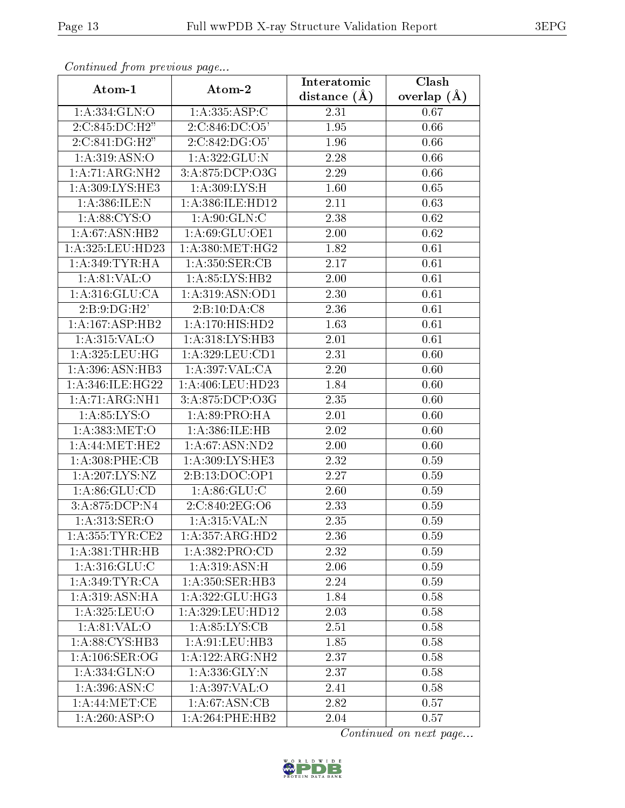| Continuation provided pugators    |                     | Interatomic       | Clash             |
|-----------------------------------|---------------------|-------------------|-------------------|
| Atom-1                            | Atom-2              | distance $(A)$    | overlap $(A)$     |
| 1:A:334:GLN:O                     | 1:A:335:ASP:C       | 2.31              | 0.67              |
| 2:C:845:DC:H2"                    | 2:C:846:DC:O5'      | 1.95              | 0.66              |
| 2:C:841:DG:H2"                    | 2:C:842:DG:O5'      | 1.96              | 0.66              |
| $1:A:319:A\overline{SN:O}$        | 1:A:322:GLU:N       | 2.28              | 0.66              |
| 1:A:71:ARG:NH2                    | 3:A:875:DCP:O3G     | 2.29              | 0.66              |
| 1:A:309:LYS:HE3                   | 1: A:309: LYS:H     | 1.60              | 0.65              |
| 1:A:386:ILE:N                     | 1:A:386:ILE:HD12    | $\overline{2.11}$ | 0.63              |
| 1: A:88: CYS:O                    | 1: A:90: GLN: C     | 2.38              | 0.62              |
| 1: A:67: ASN:HB2                  | 1:A:69:GLU:OE1      | 2.00              | $\overline{0.62}$ |
| 1:A:325:LEU:HD23                  | 1: A:380:MET:HG2    | 1.82              | 0.61              |
| 1: A:349: TYR: HA                 | 1:A:350:SER:CB      | 2.17              | 0.61              |
| 1: A:81:VAL:O                     | 1:A:85:LYS:HB2      | 2.00              | 0.61              |
| 1: A:316: GLU:CA                  | 1:A:319:ASN:OD1     | 2.30              | 0.61              |
| 2:B:9:DG:H2'                      | 2:B:10:DA:CS        | 2.36              | $\overline{0.61}$ |
| 1:A:167:ASP:HB2                   | $1:$ A:170:HIS:HD2  | 1.63              | 0.61              |
| 1: A:315: VAL:O                   | 1: A:318: LYS: HB3  | 2.01              | 0.61              |
| 1: A:325: LEU: HG                 | 1: A:329:LEU:CD1    | 2.31              | 0.60              |
| 1: A:396: ASN:HB3                 | 1:A:397:VAL:CA      | 2.20              | 0.60              |
| 1:A:346:ILE:HG22                  | 1: A:406: LEU:HD23  | 1.84              | 0.60              |
| 1:A:71:ARG:NH1                    | 3:A:875:DCP:O3G     | 2.35              | 0.60              |
| 1: A:85: LYS:O                    | 1: A:89: PRO:HA     | 2.01              | 0.60              |
| 1:A:383:MET:O                     | 1:A:386:ILE:HB      | 2.02              | 0.60              |
| 1: A:44: MET:HE2                  | 1: A:67: ASN:ND2    | 2.00              | 0.60              |
| 1:A:308:PHE:CB                    | 1:A:309:LYS:HE3     | 2.32              | 0.59              |
| 1:A:207:LYS:NZ                    | 2:B:13:DOC:OP1      | 2.27              | 0.59              |
| 1: A:86: GLU:CD                   | 1: A:86: GLU:C      | 2.60              | 0.59              |
| 3:A:875:DCP:N4                    | 2:C:840:2EG:O6      | 2.33              | 0.59              |
| $1:A:313:\overline{\text{SER}:O}$ | 1:A:315:VAL:N       | 2.35              | 0.59              |
| 1: A: 355: TYR: CE2               | 1: A: 357: ARG: HD2 | 2.36              | 0.59              |
| 1: A:381:THR:HB                   | 1:A:382:PRO:CD      | 2.32              | 0.59              |
| 1: A:316: GLU:C                   | 1: A:319: ASN:H     | 2.06              | 0.59              |
| 1: A:349: TYR: CA                 | 1: A:350: SER: HB3  | 2.24              | 0.59              |
| 1: A:319: ASN: HA                 | 1:A:322:GLU:HG3     | 1.84              | 0.58              |
| 1: A:325: LEU:O                   | 1:A:329:LEU:HD12    | 2.03              | 0.58              |
| 1: A:81:VAL:O                     | 1: A:85:LYS:CB      | 2.51              | 0.58              |
| 1:A:88:CYS:HB3                    | 1: A:91:LEU:HB3     | 1.85              | 0.58              |
| 1: A:106: SER:OG                  | 1:A:122:ARG:NH2     | 2.37              | 0.58              |
| 1:A:334:GLN:O                     | 1: A: 336: GLY: N   | 2.37              | 0.58              |
| 1:A:396:ASN:C                     | 1:A:397:VAL:O       | 2.41              | 0.58              |
| 1: A:44:MET:CE                    | 1: A:67: ASN:CB     | 2.82              | 0.57              |
| 1:A:260:ASP:O                     | $1:A:264:$ PHE:HB2  | 2.04              | 0.57              |

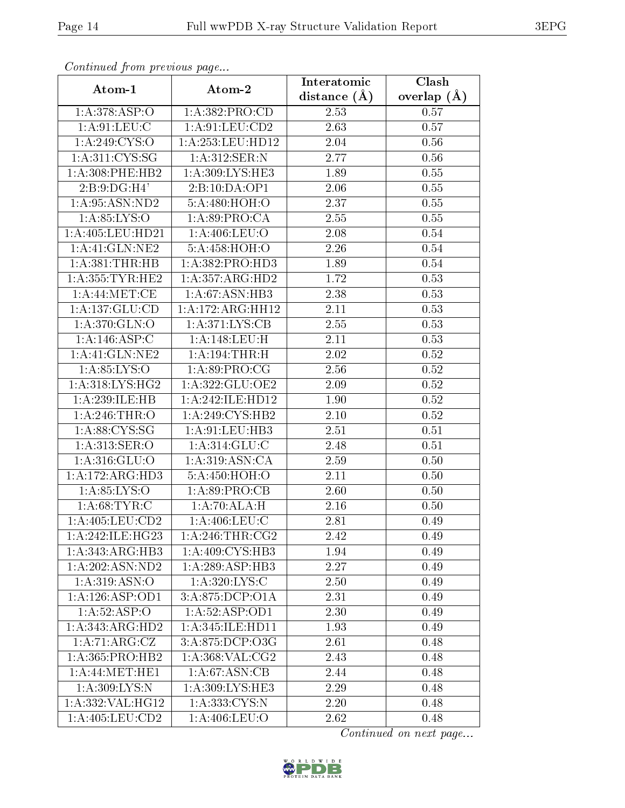| Continued from previous page |                               | Interatomic       | $\overline{\text{Clash}}$ |
|------------------------------|-------------------------------|-------------------|---------------------------|
| Atom-1                       | Atom-2                        | distance $(\AA)$  | overlap $(A)$             |
| 1:A:378:ASP:O                | 1:A:382:PRO:CD                |                   | 0.57                      |
| 1: A:91:LEU: C               | 1: A:91:LEU:CD2               | 2.63              | 0.57                      |
| 1:A:249:CYS:O                | 1:A:253:LEU:HD12              | 2.04              | 0.56                      |
| 1: A:311: CYS:SG             | 1: A:312: SER: N              | 2.77              | 0.56                      |
| 1:A:308:PHE:HB2              | 1:A:309:LYS:HE3               | 1.89              | $0.55\,$                  |
| 2:B:9:DG:H4'                 | 2:B:10:DA:OP1                 | 2.06              | 0.55                      |
| 1: A:95: ASN:ND2             | 5:A:480:HOH:O                 | $\overline{2.37}$ | 0.55                      |
| 1:A:85:LYS:O                 | 1: A:89: PRO:CA               | 2.55              | 0.55                      |
| 1:A:405:LEU:HD21             | 1:A:406:LEU:O                 | 2.08              | 0.54                      |
| 1:A:41:GLN:NE2               | 5:A:458:HOH:O                 | 2.26              | 0.54                      |
| 1: A:381:THR:HB              | 1:A:382:PRO:HD3               | 1.89              | 0.54                      |
| 1: A:355: TYR: HE2           | 1:A:357:ARG:HD2               | 1.72              | 0.53                      |
| 1: A:44: MET:CE              | 1: A:67: ASN:HB3              | 2.38              | 0.53                      |
| 1: A: 137: GLU: CD           | 1:A:172:ARG:HH12              | 2.11              | 0.53                      |
| 1:A:370:GLN:O                | 1: A:371: LYS: CB             | 2.55              | 0.53                      |
| 1:A:146:ASP:C                | 1:A:148:LEU:H                 | 2.11              | 0.53                      |
| 1:A:41:GLN:NE2               | 1:A:194:THR:H                 | 2.02              | 0.52                      |
| 1: A:85: LYS:O               | 1:A:89:PRO:CG                 | 2.56              | 0.52                      |
| 1: A:318: LYS: HG2           | 1:A:322:GLU:OE2               | 2.09              | 0.52                      |
| 1:A:239:ILE:HB               | 1:A:242:ILE:HD12              | 1.90              | $0.52\,$                  |
| 1: A:246:THR:O               | 1:A:249:CYS:HB2               | 2.10              | 0.52                      |
| 1: A:88: CYS:SG              | 1:A:91:LEU:HB3                | 2.51              | 0.51                      |
| 1: A:313: SER: O             | 1: A:314: GLU: C              | 2.48              | 0.51                      |
| 1: A:316: GLU:O              | 1: A:319: ASN:CA              | 2.59              | 0.50                      |
| 1:A:172:ARG:HD3              | 5:A:450:HOH:O                 | 2.11              | 0.50                      |
| 1: A:85: LYS:O               | 1: A:89: PRO:CB               | 2.60              | 0.50                      |
| 1: A:68:TYR:C                | 1:A:70:ALA:H                  | 2.16              | 0.50                      |
| 1: A:405:LEU:CD2             | $1: A:406:$ LEU:C             | 2.81              | 0.49                      |
| 1: A:242: ILE: HG23          | 1: A:246:THR:CG2              | 2.42              | 0.49                      |
| 1:A:343:ARG:HB3              | 1:A:409:CYS:HB3               | 1.94              | 0.49                      |
| 1:A:202:ASN:ND2              | $1:A:289: \overline{ASP:HB3}$ | 2.27              | 0.49                      |
| 1: A:319: ASN:O              | 1: A:320: L <sub>YS:C</sub>   | 2.50              | 0.49                      |
| 1: A: 126: ASP: OD1          | 3:A:875:DCP:O1A               | 2.31              | 0.49                      |
| 1:A:52:ASP:O                 | 1:A:52:ASP:OD1                | 2.30              | 0.49                      |
| 1:A:343:ARG:HD2              | 1:A:345:ILE:HD11              | 1.93              | 0.49                      |
| 1:A:71:ARG:CZ                | 3:A:875:DCP:O3G               | 2.61              | 0.48                      |
| 1:A:365:PRO:HB2              | 1: A: 368: VAL: CG2           | 2.43              | 0.48                      |
| 1: A:44: MET:HE1             | 1: A:67: ASN:CB               | 2.44              | 0.48                      |
| 1: A:309: LYS:N              | 1: A:309: LYS: HE3            | 2.29              | 0.48                      |
| 1: A: 332: VAL: HG12         | 1: A: 333: CYS:N              | 2.20              | 0.48                      |
| 1: A:405:LEU:CD2             | 1:A:406:LEU:O                 | 2.62              | 0.48                      |

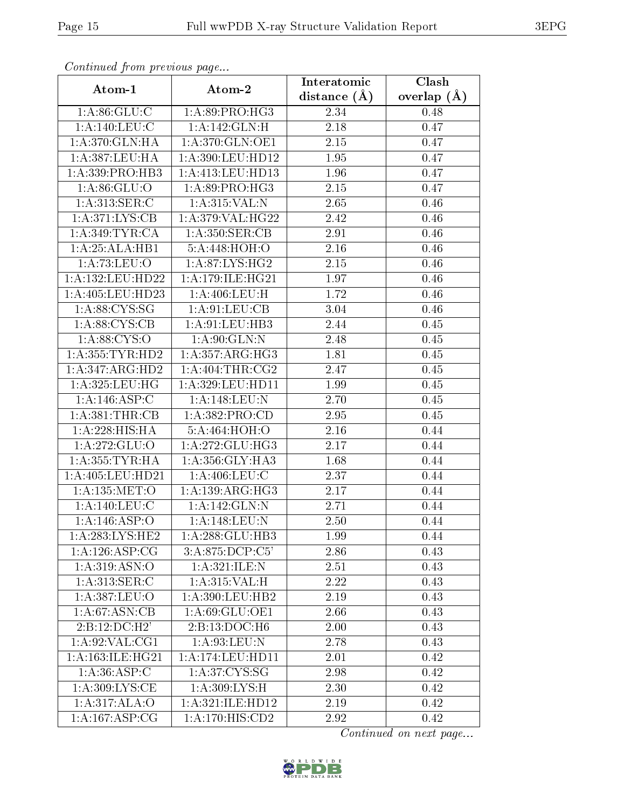| Continuati pont previous page        |                              | Interatomic      | Clash           |
|--------------------------------------|------------------------------|------------------|-----------------|
| Atom-1                               | Atom-2                       | distance $(\AA)$ | overlap $(\AA)$ |
| 1: A:86: GLU: C                      | 1:A:89:PRO:HG3               | 2.34             | 0.48            |
| 1:A:140:LEU:C                        | 1:A:142:GLN:H                | 2.18             | 0.47            |
| 1: A:370: GLN: HA                    | 1: A:370: GLN:OE1            | 2.15             | 0.47            |
| 1:A:387:LEU:HA                       | 1:A:390:LEU:HD12             | 1.95             | 0.47            |
| 1:A:339:PRO:HB3                      | 1: A:413:LEU:HD13            | 1.96             | 0.47            |
| 1: A:86: GLU:O                       | 1: A:89: PRO:HG3             | 2.15             | 0.47            |
| 1: A:313: SER:C                      | 1:A:315:VAL:N                | 2.65             | 0.46            |
| 1: A:371: LYS: CB                    | 1: A:379: VAL:HG22           | 2.42             | 0.46            |
| 1: A:349:TYR:CA                      | 1: A:350: SER:CB             | 2.91             | 0.46            |
| 1: A:25: ALA:HB1                     | 5:A:448:HOH:O                | 2.16             | 0.46            |
| 1:A:73:LEU:O                         | 1: A:87: LYS: HG2            | 2.15             | 0.46            |
| 1:A:132:LEU:HD22                     | 1: A:179: ILE: HG21          | 1.97             | 0.46            |
| 1:A:405:LEU:HD23                     | 1: A:406: LEU:H              | 1.72             | 0.46            |
| 1: A:88: CYS:SG                      | 1: A:91: LEU: CB             | 3.04             | 0.46            |
| 1: A:88: CYS:CB                      | 1:A:91:LEU:HB3               | 2.44             | 0.45            |
| 1: A:88: CYS:O                       | 1: A:90: GLN:N               | 2.48             | 0.45            |
| 1: A: 355: TYR: HD2                  | 1: A: 357: ARG: HG3          | 1.81             | 0.45            |
| 1:A:347:ARG:HD2                      | 1: A:404:THR:CG2             | 2.47             | 0.45            |
| 1:A:325:LEU:HG                       | 1:A:329:LEU:HD11             | 1.99             | 0.45            |
| 1:A:146:ASP:C                        | 1: A:148:LEU:N               | 2.70             | 0.45            |
| 1: A:381:THR:CB                      | 1:A:382:PRO:CD               | 2.95             | 0.45            |
| 1:A:228:HIS:HA                       | 5:A:464:HOH:O                | 2.16             | 0.44            |
| 1: A:272: GLU:O                      | 1: A:272: GLU:HG3            | 2.17             | 0.44            |
| 1: A: 355: TYR: HA                   | 1: A: 356: GLY: HA3          | 1.68             | 0.44            |
| $1:\overline{A}:405:\text{LEU}:HD21$ | 1: A:406: LEU: C             | 2.37             | 0.44            |
| 1: A: 135: MET:O                     | 1: A: 139: ARG: HG3          | 2.17             | 0.44            |
| 1: A:140: LEU: C                     | 1:A:142:GLN:N                | 2.71             | 0.44            |
| 1:A:146:ASP:O                        | 1:A:148:LEU:N                | 2.50             | 0.44            |
| 1:A:283:LYS:HE2                      | 1:A:288:GLU:HB3              | 1.99             | 0.44            |
| 1:A:126:ASP:CG                       | 3:A:875:DCP:C5'              | 2.86             | 0.43            |
| $1:A:319.\overline{ASN:O}$           | 1:A:321:JLE:N                | 2.51             | 0.43            |
| 1: A:313: SER:C                      | 1:A:315:VAL:H                | 2.22             | 0.43            |
| 1:A:387:LEU:O                        | 1:A:390:LEU:HB2              | 2.19             | 0.43            |
| 1: A:67: ASN:CB                      | 1:A:69:GLU:OE1               | 2.66             | 0.43            |
| 2:B:12:DC:H2'                        | 2:B:13:DOC:H6                | 2.00             | 0.43            |
| 1: A:92: VAL:CG1                     | 1:A:93:LEU:N                 | 2.78             | 0.43            |
| 1: A:163: ILE: HG21                  | 1:A:174:LEU:HD11             | 2.01             | 0.42            |
| 1: A:36: ASP:C                       | 1: A:37:CYS:SG               | 2.98             | 0.42            |
| 1: A:309: LYS: CE                    | 1: A:309: LYS:H              | 2.30             | 0.42            |
| 1:A:317:ALA:O                        | 1:A:321:ILE:HD12             | 2.19             | 0.42            |
| 1:A:167:ASP:CG                       | $1:A:170:HI\overline{S:CD2}$ | 2.92             | 0.42            |

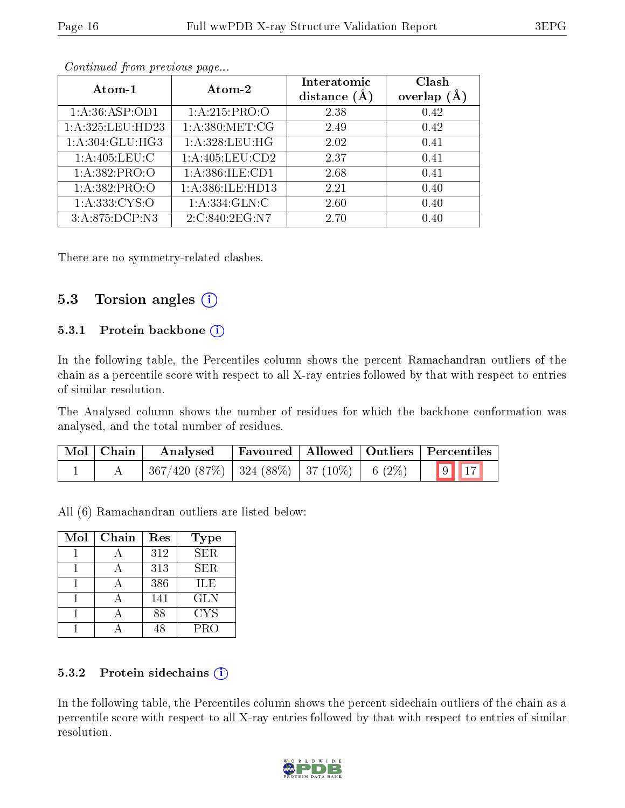| Atom-1            | Atom-2            | Interatomic<br>distance $(A)$ | Clash<br>overlap |
|-------------------|-------------------|-------------------------------|------------------|
| 1: A:36: ASP:OD1  | 1: A:215: PRO:O   | 2.38                          | 0.42             |
| 1:A:325:LEU:HD23  | 1: A:380:MET:CG   | 2.49                          | 0.42             |
| 1:A:304:GLU:HG3   | 1:A:328:LEU:HG    | 2.02                          | 0.41             |
| 1: A:405: LEU: C  | 1:A:405:LEU:CD2   | 2.37                          | 0.41             |
| 1: A: 382: PRO: O | 1:A:386:ILE:CD1   | 2.68                          | 0.41             |
| 1: A: 382: PRO:O  | 1:A:386:ILE:HD13  | 2.21                          | 0.40             |
| 1: A: 333: CYS:O  | 1: A: 334: GLN: C | 2.60                          | 0.40             |
| 3:A:875:DCP:N3    | 2:C:840:2EG:N7    | 2.70                          | 0.40             |

There are no symmetry-related clashes.

#### 5.3 Torsion angles  $(i)$

#### 5.3.1 Protein backbone (i)

In the following table, the Percentiles column shows the percent Ramachandran outliers of the chain as a percentile score with respect to all X-ray entries followed by that with respect to entries of similar resolution.

The Analysed column shows the number of residues for which the backbone conformation was analysed, and the total number of residues.

| Mol   Chain | Favoured   Allowed   Outliers   Percentiles  <br>Analysed   |  |  |                          |
|-------------|-------------------------------------------------------------|--|--|--------------------------|
|             | $367/420$ $(87\%)$   324 $(88\%)$   37 $(10\%)$   6 $(2\%)$ |  |  | $\boxed{9}$ $\boxed{17}$ |

All (6) Ramachandran outliers are listed below:

| Mol | Chain | Res | <b>Type</b> |
|-----|-------|-----|-------------|
|     |       | 312 | <b>SER</b>  |
|     |       | 313 | <b>SER</b>  |
|     |       | 386 | <b>ILE</b>  |
|     |       | 141 | <b>GLN</b>  |
|     |       | 88  | <b>CYS</b>  |
|     |       |     | PRO         |

#### 5.3.2 Protein sidechains (i)

In the following table, the Percentiles column shows the percent sidechain outliers of the chain as a percentile score with respect to all X-ray entries followed by that with respect to entries of similar resolution.

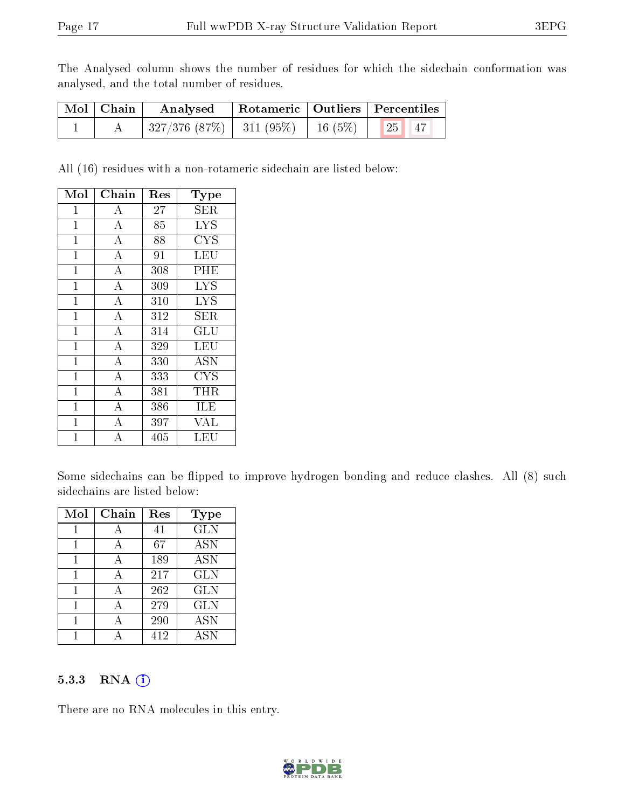The Analysed column shows the number of residues for which the sidechain conformation was analysed, and the total number of residues.

| Mol   Chain | Analysed                                                    | Rotameric   Outliers   Percentiles |  |                               |  |
|-------------|-------------------------------------------------------------|------------------------------------|--|-------------------------------|--|
|             | $\mid$ 327/376 (87%) $\mid$ 311 (95%) $\mid$ 16 (5%) $\mid$ |                                    |  | $\parallel$ 25 $\parallel$ 47 |  |

All (16) residues with a non-rotameric sidechain are listed below:

| Mol            | ${\bf Chain}$      | $\operatorname{Res}% \left( \mathcal{N}\right) \equiv\operatorname{Res}(\mathcal{N}_{0},\mathcal{N}_{0})$ | Type       |
|----------------|--------------------|-----------------------------------------------------------------------------------------------------------|------------|
| 1              | A                  | 27                                                                                                        | SER        |
| $\mathbf 1$    | $\boldsymbol{A}$   | 85                                                                                                        | <b>LYS</b> |
| $\mathbf{1}$   | $\overline{\rm A}$ | 88                                                                                                        | <b>CYS</b> |
| $\mathbf 1$    | $\overline{\rm A}$ | 91                                                                                                        | LEU        |
| $\mathbf{1}$   | $\overline{A}$     | 308                                                                                                       | PHE        |
| $\overline{1}$ | $\overline{A}$     | 309                                                                                                       | <b>LYS</b> |
| 1              | $\overline{\rm A}$ | 310                                                                                                       | <b>LYS</b> |
| $\mathbf{1}$   | $\overline{\rm A}$ | 312                                                                                                       | SER        |
| $\mathbf 1$    | $\overline{\rm A}$ | 314                                                                                                       | GLU        |
| $\overline{1}$ | $\overline{A}$     | 329                                                                                                       | <b>LEU</b> |
| $\overline{1}$ | $\overline{A}$     | 330                                                                                                       | <b>ASN</b> |
| $\mathbf{1}$   | $\overline{A}$     | 333                                                                                                       | CYS        |
| $\mathbf{1}$   | $\bf{A}$           | 381                                                                                                       | THR        |
| $\mathbf{1}$   | $\overline{\rm A}$ | 386                                                                                                       | ILE        |
| $\mathbf 1$    | $\bf{A}$           | 397                                                                                                       | <b>VAL</b> |
| 1              | $\overline{\rm A}$ | 405                                                                                                       | LEU        |

Some sidechains can be flipped to improve hydrogen bonding and reduce clashes. All (8) such sidechains are listed below:

| Mol | Chain | Res | Type              |
|-----|-------|-----|-------------------|
|     |       | 41  | <b>GLN</b>        |
|     | А     | 67  | <b>ASN</b>        |
| 1   | А     | 189 | <b>ASN</b>        |
| 1   | А     | 217 | <b>GLN</b>        |
|     | А     | 262 | <b>GLN</b>        |
|     | А     | 279 | <b>GLN</b>        |
|     |       | 290 | $\overline{A}$ SN |
|     |       | 412 | <b>ASN</b>        |

#### 5.3.3 RNA (i)

There are no RNA molecules in this entry.

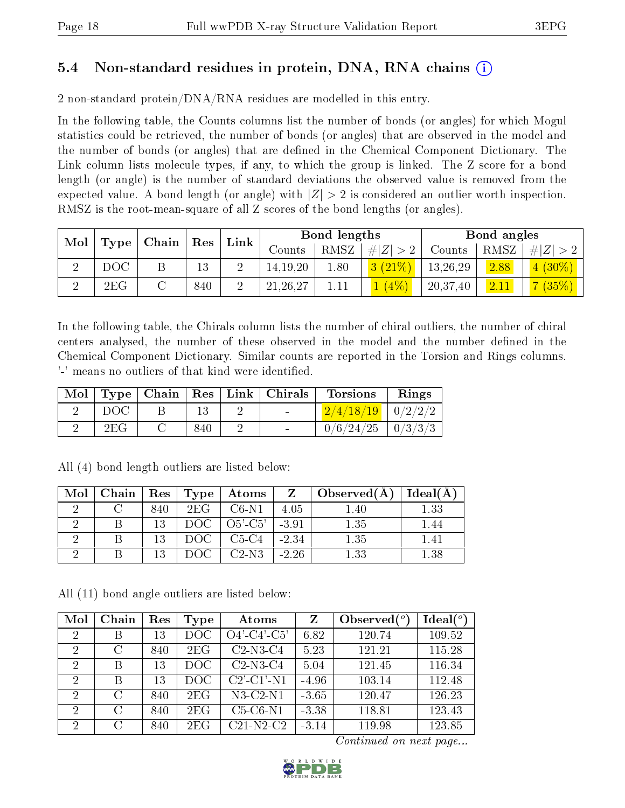### 5.4 Non-standard residues in protein, DNA, RNA chains (i)

2 non-standard protein/DNA/RNA residues are modelled in this entry.

In the following table, the Counts columns list the number of bonds (or angles) for which Mogul statistics could be retrieved, the number of bonds (or angles) that are observed in the model and the number of bonds (or angles) that are dened in the Chemical Component Dictionary. The Link column lists molecule types, if any, to which the group is linked. The Z score for a bond length (or angle) is the number of standard deviations the observed value is removed from the expected value. A bond length (or angle) with  $|Z| > 2$  is considered an outlier worth inspection. RMSZ is the root-mean-square of all Z scores of the bond lengths (or angles).

| Mol |     | $\mid$ Type $\mid$ Chain $\mid$ Res $\mid$ |     |              |               | Bond lengths |             |          | Bond angles |                    |
|-----|-----|--------------------------------------------|-----|--------------|---------------|--------------|-------------|----------|-------------|--------------------|
|     |     |                                            |     | ${\rm Link}$ | $\rm{Counts}$ | RMSZ         | # $ Z  > 2$ | Counts   | RMSZ        | # $ Z  > 2$        |
|     | DOC |                                            | 13  |              | 14, 19, 20    | 1.80         | 3(21%)      | 13,26,29 | 2.88        | $\frac{1}{(30\%)}$ |
| ച   | 2EG |                                            | 840 |              | 21, 26, 27    |              | $4\%$       | 20,37,40 | 2.11        | $7(35\%)$          |

In the following table, the Chirals column lists the number of chiral outliers, the number of chiral centers analysed, the number of these observed in the model and the number defined in the Chemical Component Dictionary. Similar counts are reported in the Torsion and Rings columns. '-' means no outliers of that kind were identified.

|     |     |  | $\text{Mol}$   Type   Chain   Res   Link   Chirals   Torsions | $\parallel$ Rings |
|-----|-----|--|---------------------------------------------------------------|-------------------|
| DOC |     |  | $2/4/18/19$   $0/2/2/2$                                       |                   |
| 2EG | 840 |  | $0/6/24/25$   $0/3/3/3$                                       |                   |

| Mol |     |                   | Chain   Res   Type   Atoms                                     |         | $Z \mid Observed(A) \mid$ | Ideal(A) |
|-----|-----|-------------------|----------------------------------------------------------------|---------|---------------------------|----------|
|     | 840 | 2EG 1             | C6-N1                                                          | 4.05    | 1.40                      | 1.33     |
|     | 13  |                   | $DOC$   $O5$ <sup>2</sup> -C <sub>5</sub> <sup>2</sup>   -3.91 |         | 1.35                      | 1.44     |
|     | 13  |                   | $DOC$   $C5-C4$                                                | $-2.34$ | 1.35                      | 141      |
|     | 13  | $-$ DOC $\perp$ . | $C2-N3$                                                        | $-2.26$ | 1.33                      | 1.38     |

All (4) bond length outliers are listed below:

All (11) bond angle outliers are listed below:

| Mol            | Chain         | Res | Type            | Atoms                    | Z       | Observed $\binom{o}{c}$ | Ideal(°) |
|----------------|---------------|-----|-----------------|--------------------------|---------|-------------------------|----------|
| $\overline{2}$ | В             | 13  | $_{\text{DOC}}$ | $O4'-C4'-\overline{C5'}$ | 6.82    | 120.74                  | 109.52   |
| $\overline{2}$ | C             | 840 | 2EG             | $C2-N3-C4$               | 5.23    | 121.21                  | 115.28   |
| $\overline{2}$ | В             | 13  | DOC             | $C2-N3-C4$               | 5.04    | 121.45                  | 116.34   |
| $\overline{2}$ | В             | 13  | DOC             | $C2'$ - $C1'$ - $N1$     | $-4.96$ | 103.14                  | 112.48   |
| $\mathcal{D}$  | $\mathcal{C}$ | 840 | 2EG             | $N3-C2-N1$               | $-3.65$ | 120.47                  | 126.23   |
| 2              | $\mathcal{C}$ | 840 | 2EG             | $C5-C6-N1$               | $-3.38$ | 118.81                  | 123.43   |
| $\mathcal{D}$  | C             | 840 | 2EG             | $C21-N2-C2$              | $-3.14$ | 119.98                  | 123.85   |

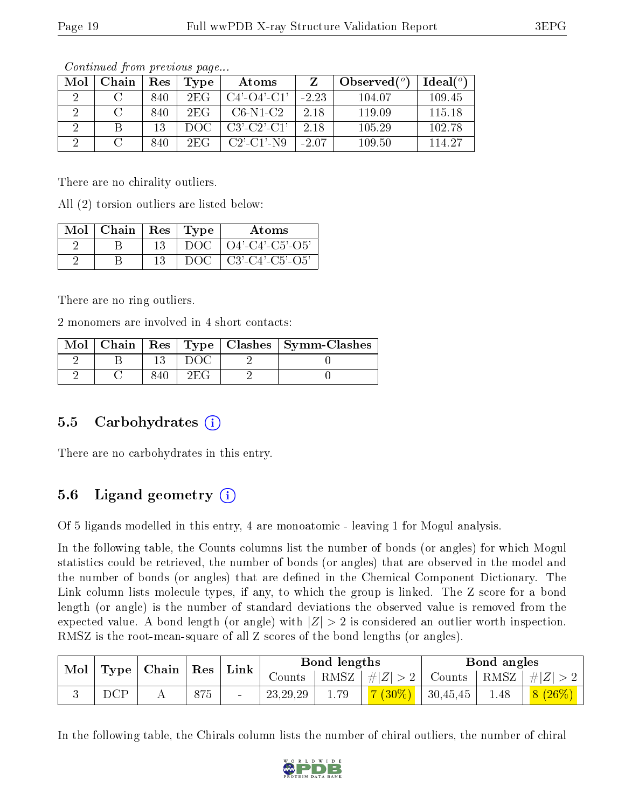| Mol | Chain | Res | Type | Atoms                 |         | Observed $(°)$ | Ideal $(°)$ |
|-----|-------|-----|------|-----------------------|---------|----------------|-------------|
| 9   |       | 840 | 2EG  | $C4'$ - $O4'$ - $C1'$ | $-2.23$ | 104.07         | 109.45      |
|     |       | 840 | 2FG  | $C6-N1-C2$            | 2.18    | 119.09         | 115.18      |
| ച   |       | 13  | DOG  | $C3'$ - $C2'$ - $C1'$ | 2.18    | 105.29         | 102.78      |
|     |       | 840 | 2FG  | $C2'$ - $C1'$ -N9     | $-2.07$ | 109.50         | 114 27      |

There are no chirality outliers.

All (2) torsion outliers are listed below:

| Mol   Chain |    | Res   Type | Atoms                                 |
|-------------|----|------------|---------------------------------------|
|             |    |            | $DOC$   $O4'$ - $C4'$ - $C5'$ - $O5'$ |
|             | 13 |            | $DOC   C3'-C4'-C5'-O5'$               |

There are no ring outliers.

2 monomers are involved in 4 short contacts:

|  |     | Mol   Chain   Res   Type   Clashes   Symm-Clashes |
|--|-----|---------------------------------------------------|
|  |     |                                                   |
|  | 2EG |                                                   |

#### 5.5 Carbohydrates (i)

There are no carbohydrates in this entry.

### 5.6 Ligand geometry  $(i)$

Of 5 ligands modelled in this entry, 4 are monoatomic - leaving 1 for Mogul analysis.

In the following table, the Counts columns list the number of bonds (or angles) for which Mogul statistics could be retrieved, the number of bonds (or angles) that are observed in the model and the number of bonds (or angles) that are defined in the Chemical Component Dictionary. The Link column lists molecule types, if any, to which the group is linked. The Z score for a bond length (or angle) is the number of standard deviations the observed value is removed from the expected value. A bond length (or angle) with  $|Z| > 2$  is considered an outlier worth inspection. RMSZ is the root-mean-square of all Z scores of the bond lengths (or angles).

| Chain   Res              |              |  | Link | Bond lengths |            |         | Bond angles           |          |                                   |  |
|--------------------------|--------------|--|------|--------------|------------|---------|-----------------------|----------|-----------------------------------|--|
| Mol<br>Type <sub>1</sub> |              |  |      | Counts -     | RMSZ       | $\# Z $ | Counts   RMSZ $\vert$ |          | $\pm$<br> Z <br>$8(26\%)$<br>1.48 |  |
|                          | $_{\rm DCP}$ |  | 875  |              | 23, 29, 29 |         | $(30\%)$              | 30,45,45 |                                   |  |

In the following table, the Chirals column lists the number of chiral outliers, the number of chiral

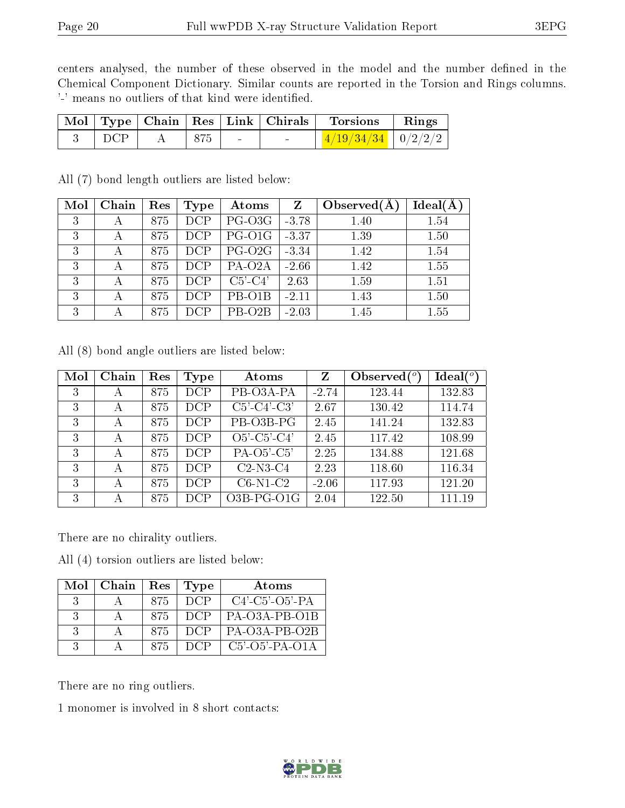centers analysed, the number of these observed in the model and the number defined in the Chemical Component Dictionary. Similar counts are reported in the Torsion and Rings columns. '-' means no outliers of that kind were identified.

|     |     | Mol   Type   Chain   Res   Link   Chirals | <b>Torsions</b>          | $\parallel$ Rings |
|-----|-----|-------------------------------------------|--------------------------|-------------------|
| DCP | 875 | $\sim$                                    | $1/19/34/34$   $0/2/2/2$ |                   |

All (7) bond length outliers are listed below:

| Mol | Chain | Res | Type | Atoms               | $Z_{\parallel}$ | Observed $(A)$ | Ideal(A) |
|-----|-------|-----|------|---------------------|-----------------|----------------|----------|
| 3   |       | 875 | DCP  | PG-O3G              | $-3.78$         | 1.40           | 1.54     |
| 3   |       | 875 | DCP  | PG-O1G              | $-3.37$         | 1.39           | 1.50     |
| 3   |       | 875 | DCP  | PG-O <sub>2G</sub>  | $-3.34$         | 1.42           | 1.54     |
| 3   |       | 875 | DCP  | PA-O <sub>2</sub> A | $-2.66$         | 1.42           | 1.55     |
| 3   |       | 875 | DCP  | $C5'-C4'$           | 2.63            | 1.59           | 1.51     |
| 3   |       | 875 | DCP  | PB-O1B              | $-2.11$         | 1.43           | 1.50     |
| 3   |       | 875 | DCP  | PB-O <sub>2</sub> B | $-2.03$         | 1.45           | 1.55     |

All (8) bond angle outliers are listed below:

| Mol | Chain | Res | Type | Atoms            | Z       | Observed $(°)$ | Ideal(°) |
|-----|-------|-----|------|------------------|---------|----------------|----------|
| 3   | А     | 875 | DCP  | PB-O3A-PA        | $-2.74$ | 123.44         | 132.83   |
| 3   | А     | 875 | DCP  | $C5'-C4'-C3'$    | 2.67    | 130.42         | 114.74   |
| 3   | А     | 875 | DCP  | PB-O3B-PG        | 2.45    | 141.24         | 132.83   |
| 3   | А     | 875 | DCP  | $O5'$ -C5'-C4'   | 2.45    | 117.42         | 108.99   |
| 3   | А     | 875 | DCP  | $PA-O5'-C5'$     | 2.25    | 134.88         | 121.68   |
| 3   | А     | 875 | DCP  | $C2-N3-C4$       | 2.23    | 118.60         | 116.34   |
| 3   | А     | 875 | DCP  | $C6-N1-C2$       | $-2.06$ | 117.93         | 121.20   |
| 3   | А     | 875 | DCP  | $O3B$ -PG- $O1G$ | 2.04    | 122.50         | 111.19   |

There are no chirality outliers.

All (4) torsion outliers are listed below:

| Mol           | Chain | Res  | Type  | Atoms             |
|---------------|-------|------|-------|-------------------|
| $\cdot$ 3     |       | 875. | -DCP- | $C4'-C5'-O5'-PA$  |
| $\mathcal{R}$ |       | 875  | DCP   | $PA-O3A-PB-O1B$   |
| $\cdot$ 3     |       | 875  | DCP   | PA-O3A-PB-O2B     |
| - 3           |       | 875. | - DCP | $C5'$ -O5'-PA-O1A |

There are no ring outliers.

1 monomer is involved in 8 short contacts:

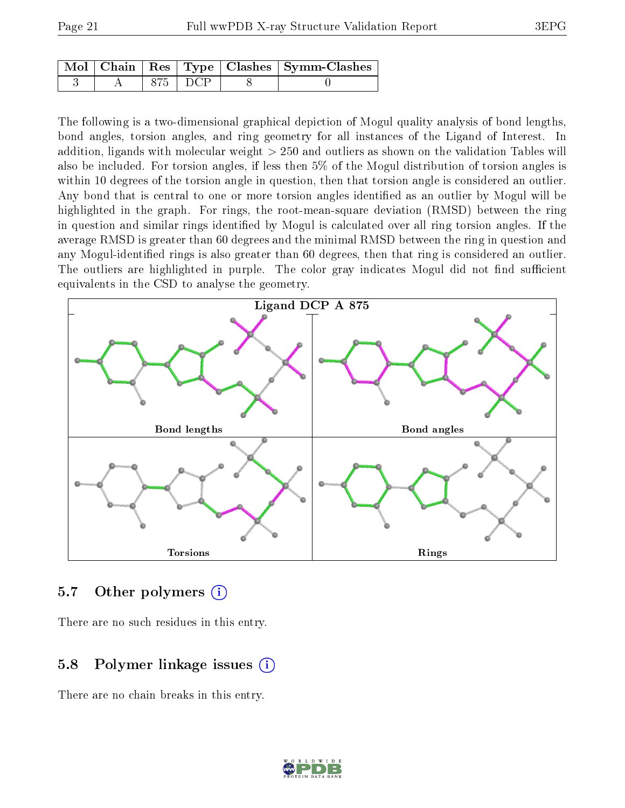|  |           | Mol   Chain   Res   Type   Clashes   Symm-Clashes |
|--|-----------|---------------------------------------------------|
|  | 875   DCP |                                                   |

The following is a two-dimensional graphical depiction of Mogul quality analysis of bond lengths, bond angles, torsion angles, and ring geometry for all instances of the Ligand of Interest. In addition, ligands with molecular weight > 250 and outliers as shown on the validation Tables will also be included. For torsion angles, if less then 5% of the Mogul distribution of torsion angles is within 10 degrees of the torsion angle in question, then that torsion angle is considered an outlier. Any bond that is central to one or more torsion angles identified as an outlier by Mogul will be highlighted in the graph. For rings, the root-mean-square deviation (RMSD) between the ring in question and similar rings identified by Mogul is calculated over all ring torsion angles. If the average RMSD is greater than 60 degrees and the minimal RMSD between the ring in question and any Mogul-identified rings is also greater than 60 degrees, then that ring is considered an outlier. The outliers are highlighted in purple. The color gray indicates Mogul did not find sufficient equivalents in the CSD to analyse the geometry.



#### 5.7 [O](https://www.wwpdb.org/validation/2017/XrayValidationReportHelp#nonstandard_residues_and_ligands)ther polymers  $(i)$

There are no such residues in this entry.

### 5.8 Polymer linkage issues  $(i)$

There are no chain breaks in this entry.

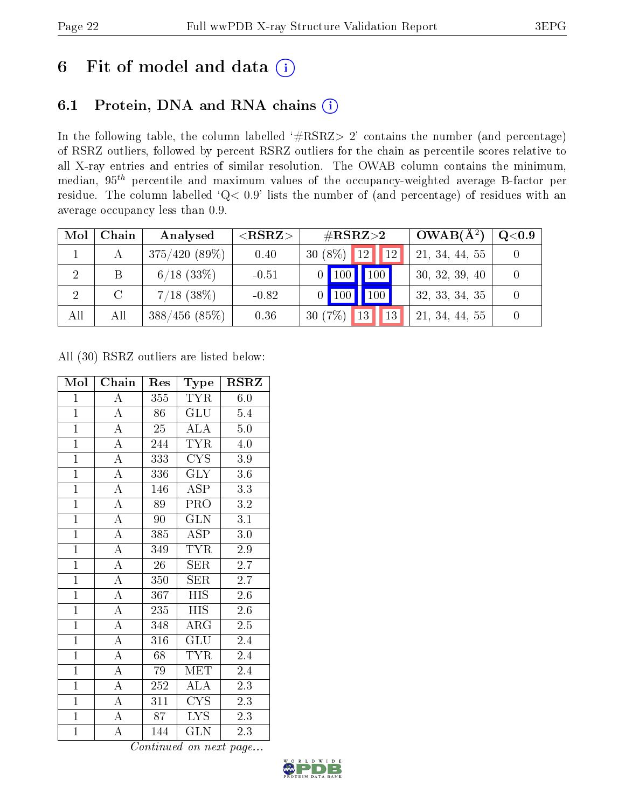# 6 Fit of model and data  $(i)$

### 6.1 Protein, DNA and RNA chains  $(i)$

In the following table, the column labelled  $#RSRZ> 2'$  contains the number (and percentage) of RSRZ outliers, followed by percent RSRZ outliers for the chain as percentile scores relative to all X-ray entries and entries of similar resolution. The OWAB column contains the minimum, median,  $95<sup>th</sup>$  percentile and maximum values of the occupancy-weighted average B-factor per residue. The column labelled ' $Q< 0.9$ ' lists the number of (and percentage) of residues with an average occupancy less than 0.9.

| Mol | Chain    | Analysed        | ${ <\hspace{-1.5pt}{\mathrm{RSRZ}} \hspace{-1.5pt}>}$ | $\rm \#RSRZ{>}2$              | $OWAB(A^2)$    | $\rm Q\textcolor{black}{<}0.9$ |
|-----|----------|-----------------|-------------------------------------------------------|-------------------------------|----------------|--------------------------------|
|     |          | $375/420(89\%)$ | 0.40                                                  | $30(8\%)$ 12<br><sup>12</sup> | 21, 34, 44, 55 |                                |
| 2   | B        | $6/18$ $(33\%)$ | $-0.51$                                               | 100<br>100                    | 30, 32, 39, 40 |                                |
|     | $\Gamma$ | $7/18$ (38\%)   | $-0.82$                                               | 100<br>$100 \mid$             | 32, 33, 34, 35 |                                |
| All | All      | $388/456$ (85%) | 0.36                                                  | 30(7%)<br>13<br>13            | 21, 34, 44, 55 |                                |

All (30) RSRZ outliers are listed below:

| Mol            | Chain              | Res | Type                    | <b>RSRZ</b>      |
|----------------|--------------------|-----|-------------------------|------------------|
| $\mathbf{1}$   | A                  | 355 | <b>TYR</b>              | 6.0              |
| $\overline{1}$ | $\overline{A}$     | 86  | <b>GLU</b>              | 5.4              |
| $\overline{1}$ | $\overline{\rm A}$ | 25  | $\overline{\rm ALA}$    | $5.0\,$          |
| $\overline{1}$ | $\overline{A}$     | 244 | <b>TYR</b>              | 4.0              |
| $\mathbf{1}$   | $\overline{\rm A}$ | 333 | CYS                     | 3.9              |
| $\overline{1}$ | $\overline{\rm A}$ | 336 | $\overline{\text{GLY}}$ | $\overline{3.6}$ |
| $\overline{1}$ | $\overline{\rm A}$ | 146 | <b>ASP</b>              | $\overline{3.3}$ |
| $\overline{1}$ | $\overline{\rm A}$ | 89  | PRO                     | $\!3.2\!$        |
| $\overline{1}$ | $\overline{A}$     | 90  | $\overline{\text{GLN}}$ | $\overline{3.1}$ |
| $\mathbf{1}$   | $\overline{\rm A}$ | 385 | ASP                     | $3.0\,$          |
| $\overline{1}$ | $\overline{A}$     | 349 | <b>TYR</b>              | $\overline{2.9}$ |
| $\mathbf{1}$   | $\overline{\rm A}$ | 26  | SER                     | 2.7              |
| $\overline{1}$ | $\overline{\rm A}$ | 350 | <b>SER</b>              | $\overline{2.7}$ |
| $\overline{1}$ | $\overline{\rm A}$ | 367 | <b>HIS</b>              | $\overline{2.6}$ |
| $\overline{1}$ | $\overline{\rm A}$ | 235 | <b>HIS</b>              | $2.\overline{6}$ |
| $\overline{1}$ | $\overline{A}$     | 348 | $\overline{\rm{ARG}}$   | 2.5              |
| $\overline{1}$ | $\overline{\rm A}$ | 316 | GLU                     | 2.4              |
| $\overline{1}$ | $\overline{\rm A}$ | 68  | <b>TYR</b>              | 2.4              |
| $\overline{1}$ | $\overline{\rm A}$ | 79  | MET                     | 2.4              |
| $\mathbf{1}$   | $\overline{\rm A}$ | 252 | <b>ALA</b>              | 2.3              |
| $\overline{1}$ | $\overline{\rm A}$ | 311 | <b>CYS</b>              | 2.3              |
| $\mathbf{1}$   | $\overline{\rm A}$ | 87  | LYS.                    | 2.3              |
| $\mathbf{1}$   | $\overline{\rm A}$ | 144 | GLN                     | 2.3              |

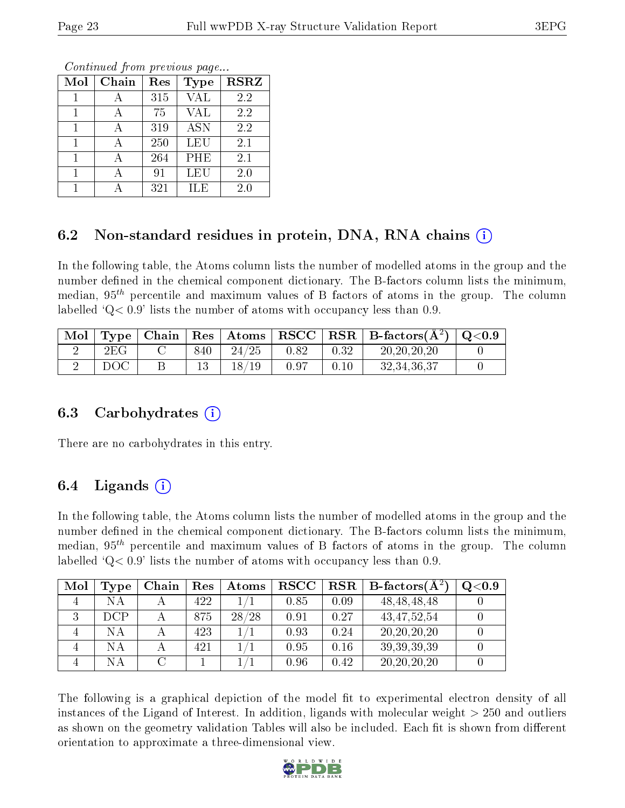Continued from previous page...

| Mol | Chain | Res | Type       | <b>RSRZ</b> |
|-----|-------|-----|------------|-------------|
|     |       | 315 | <b>VAL</b> | 2.2         |
|     |       | 75  | <b>VAL</b> | 2.2         |
|     |       | 319 | <b>ASN</b> | 2.2         |
|     |       | 250 | LEU        | 2.1         |
|     |       | 264 | PHE        | 2.1         |
|     |       | 91  | LEU        | 2.0         |
|     |       | 321 | H.E        | $2.0\,$     |

### 6.2 Non-standard residues in protein, DNA, RNA chains  $(i)$

In the following table, the Atoms column lists the number of modelled atoms in the group and the number defined in the chemical component dictionary. The B-factors column lists the minimum, median,  $95<sup>th</sup>$  percentile and maximum values of B factors of atoms in the group. The column labelled  $Q< 0.9$  lists the number of atoms with occupancy less than 0.9.

| Mol |     |     | Type   Chain   Res   Atoms |      |      | $\mid \text{RSCC} \mid \text{RSR} \mid \text{B-factors}(\text{\AA}^2) \mid \text{Q}<\!\!0.9$ |  |
|-----|-----|-----|----------------------------|------|------|----------------------------------------------------------------------------------------------|--|
|     | 2EG | 840 | 24/25                      | 0.82 | 0.32 | 20, 20, 20, 20                                                                               |  |
|     | DOC |     | 19<br>$18$ /               | 0.97 |      | 32, 34, 36, 37                                                                               |  |

#### 6.3 Carbohydrates (i)

There are no carbohydrates in this entry.

### 6.4 Ligands  $(i)$

In the following table, the Atoms column lists the number of modelled atoms in the group and the number defined in the chemical component dictionary. The B-factors column lists the minimum, median,  $95<sup>th</sup>$  percentile and maximum values of B factors of atoms in the group. The column labelled  $Q< 0.9$ ' lists the number of atoms with occupancy less than 0.9.

| Mol | Type       | Chain | Res | $\boldsymbol{\mathrm{Atoms}}$ | ${\bf RSCC}$ |      | $\text{RSR} \parallel \text{B-factors} (\text{A}^2)$ | Q <sub>0.9</sub> |
|-----|------------|-------|-----|-------------------------------|--------------|------|------------------------------------------------------|------------------|
|     | NΑ         |       | 422 |                               | 0.85         | 0.09 | 48, 48, 48, 48                                       |                  |
|     | <b>DCP</b> |       | 875 | 28/28                         | 0.91         | 0.27 | 43, 47, 52, 54                                       |                  |
|     | NΑ         |       | 423 |                               | 0.93         | 0.24 | 20, 20, 20, 20                                       |                  |
|     | NΑ         |       | 421 |                               | 0.95         | 0.16 | 39, 39, 39, 39                                       |                  |
|     | NА         |       |     |                               | 0.96         | 0.42 | 20, 20, 20, 20                                       |                  |

The following is a graphical depiction of the model fit to experimental electron density of all instances of the Ligand of Interest. In addition, ligands with molecular weight  $> 250$  and outliers as shown on the geometry validation Tables will also be included. Each fit is shown from different orientation to approximate a three-dimensional view.